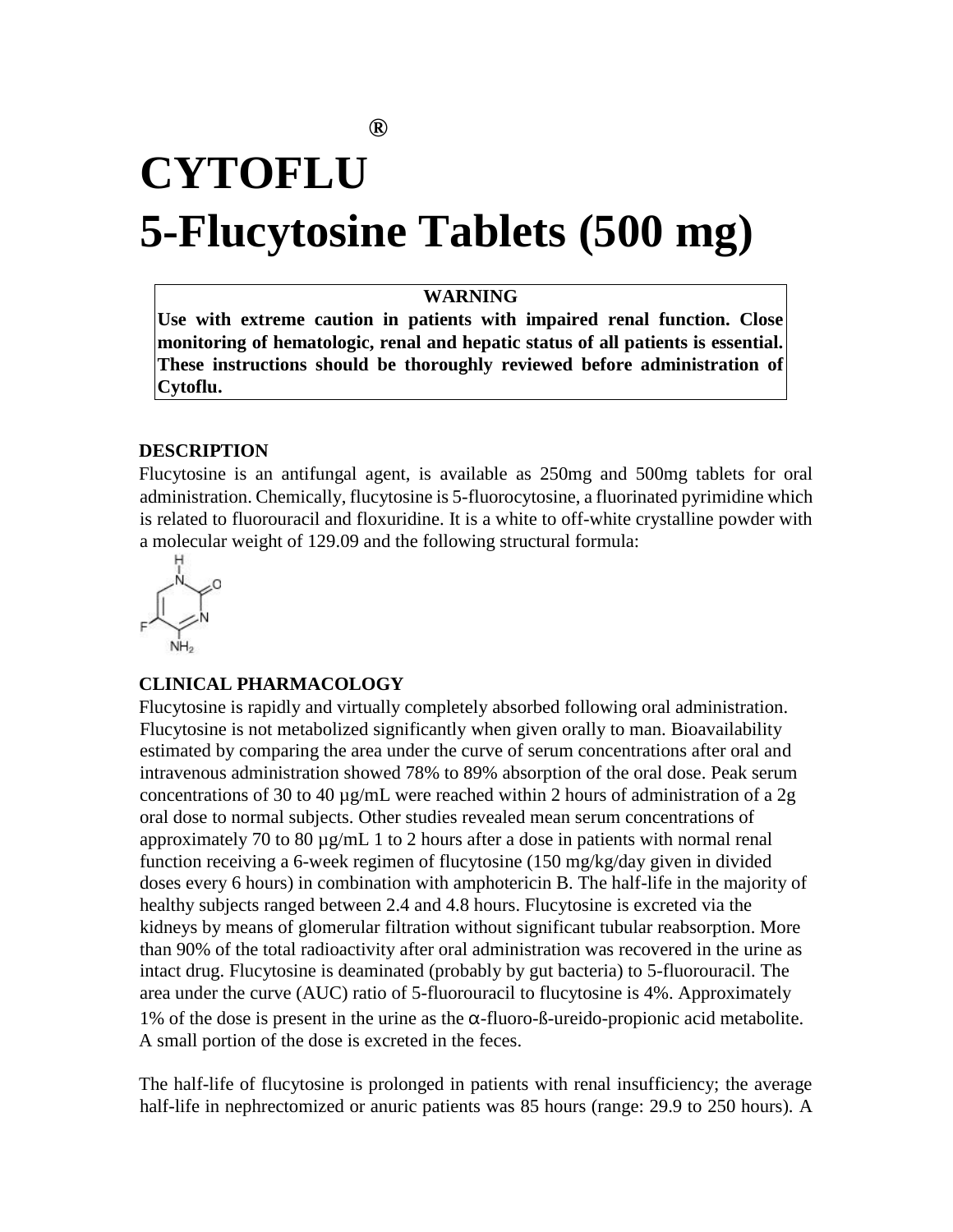# **CYTOFLU 5-Flucytosine Tablets (500 mg)**

## **WARNING**

**Use with extreme caution in patients with impaired renal function. Close monitoring of hematologic, renal and hepatic status of all patients is essential. These instructions should be thoroughly reviewed before administration of Cytoflu.** 

### **DESCRIPTION**

Flucytosine is an antifungal agent, is available as 250mg and 500mg tablets for oral administration. Chemically, flucytosine is 5-fluorocytosine, a fluorinated pyrimidine which is related to fluorouracil and floxuridine. It is a white to off-white crystalline powder with a molecular weight of 129.09 and the following structural formula:



#### **CLINICAL PHARMACOLOGY**

Flucytosine is rapidly and virtually completely absorbed following oral administration. Flucytosine is not metabolized significantly when given orally to man. Bioavailability estimated by comparing the area under the curve of serum concentrations after oral and intravenous administration showed 78% to 89% absorption of the oral dose. Peak serum concentrations of 30 to 40  $\mu$ g/mL were reached within 2 hours of administration of a 2g oral dose to normal subjects. Other studies revealed mean serum concentrations of approximately 70 to 80 µg/mL 1 to 2 hours after a dose in patients with normal renal function receiving a 6-week regimen of flucytosine (150 mg/kg/day given in divided doses every 6 hours) in combination with amphotericin B. The half-life in the majority of healthy subjects ranged between 2.4 and 4.8 hours. Flucytosine is excreted via the kidneys by means of glomerular filtration without significant tubular reabsorption. More than 90% of the total radioactivity after oral administration was recovered in the urine as intact drug. Flucytosine is deaminated (probably by gut bacteria) to 5-fluorouracil. The area under the curve (AUC) ratio of 5-fluorouracil to flucytosine is 4%. Approximately 1% of the dose is present in the urine as the α-fluoro-ß-ureido-propionic acid metabolite. A small portion of the dose is excreted in the feces.

The half-life of flucytosine is prolonged in patients with renal insufficiency; the average half-life in nephrectomized or anuric patients was 85 hours (range: 29.9 to 250 hours). A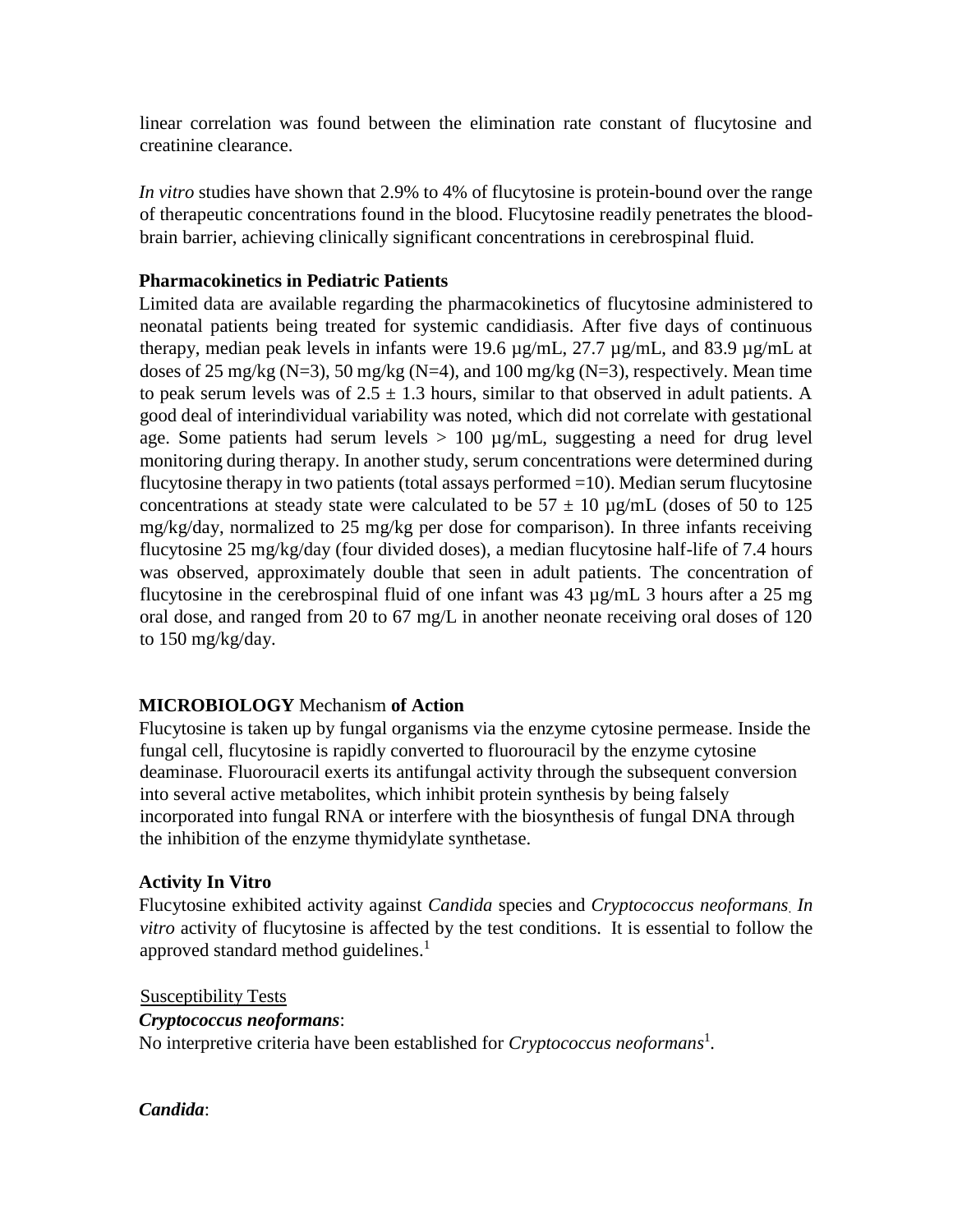linear correlation was found between the elimination rate constant of flucytosine and creatinine clearance.

*In vitro* studies have shown that 2.9% to 4% of flucytosine is protein-bound over the range of therapeutic concentrations found in the blood. Flucytosine readily penetrates the bloodbrain barrier, achieving clinically significant concentrations in cerebrospinal fluid.

## **Pharmacokinetics in Pediatric Patients**

Limited data are available regarding the pharmacokinetics of flucytosine administered to neonatal patients being treated for systemic candidiasis. After five days of continuous therapy, median peak levels in infants were 19.6 µg/mL, 27.7 µg/mL, and 83.9 µg/mL at doses of 25 mg/kg (N=3), 50 mg/kg (N=4), and 100 mg/kg (N=3), respectively. Mean time to peak serum levels was of  $2.5 \pm 1.3$  hours, similar to that observed in adult patients. A good deal of interindividual variability was noted, which did not correlate with gestational age. Some patients had serum levels  $> 100 \mu g/mL$ , suggesting a need for drug level monitoring during therapy. In another study, serum concentrations were determined during flucytosine therapy in two patients (total assays performed  $=10$ ). Median serum flucytosine concentrations at steady state were calculated to be  $57 \pm 10 \,\mu g/mL$  (doses of 50 to 125 mg/kg/day, normalized to 25 mg/kg per dose for comparison). In three infants receiving flucytosine 25 mg/kg/day (four divided doses), a median flucytosine half-life of 7.4 hours was observed, approximately double that seen in adult patients. The concentration of flucytosine in the cerebrospinal fluid of one infant was 43 µg/mL 3 hours after a 25 mg oral dose, and ranged from 20 to 67 mg/L in another neonate receiving oral doses of 120 to 150 mg/kg/day.

# **MICROBIOLOGY** Mechanism **of Action**

Flucytosine is taken up by fungal organisms via the enzyme cytosine permease. Inside the fungal cell, flucytosine is rapidly converted to fluorouracil by the enzyme cytosine deaminase. Fluorouracil exerts its antifungal activity through the subsequent conversion into several active metabolites, which inhibit protein synthesis by being falsely incorporated into fungal RNA or interfere with the biosynthesis of fungal DNA through the inhibition of the enzyme thymidylate synthetase.

## **Activity In Vitro**

Flucytosine exhibited activity against *Candida* species and *Cryptococcus neoformans*. *In vitro* activity of flucytosine is affected by the test conditions. It is essential to follow the approved standard method guidelines. $<sup>1</sup>$ </sup>

Susceptibility Tests *Cryptococcus neoformans*: No interpretive criteria have been established for *Cryptococcus neoformans*<sup>1</sup> *.* 

*Candida*: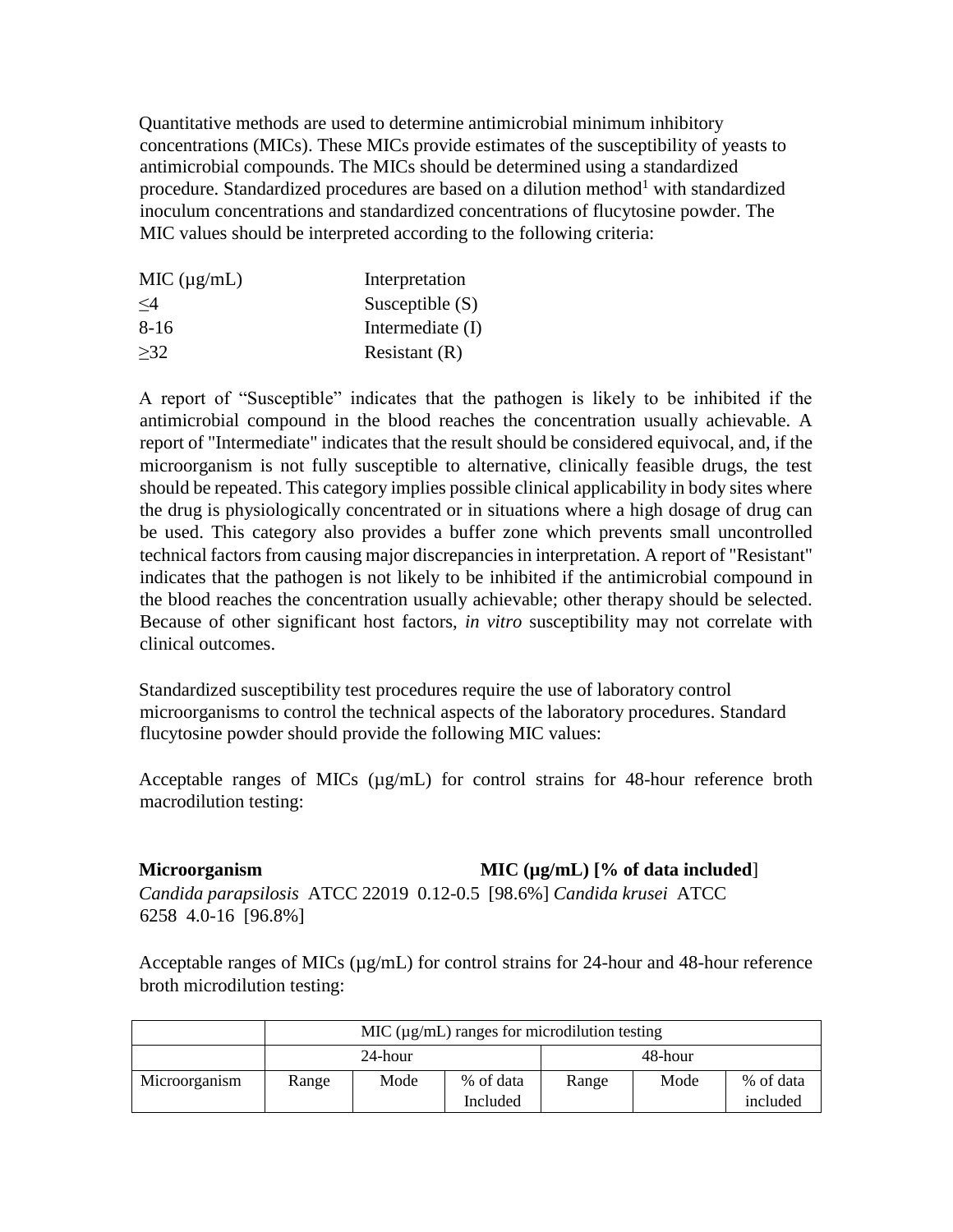Quantitative methods are used to determine antimicrobial minimum inhibitory concentrations (MICs). These MICs provide estimates of the susceptibility of yeasts to antimicrobial compounds. The MICs should be determined using a standardized procedure. Standardized procedures are based on a dilution method<sup>1</sup> with standardized inoculum concentrations and standardized concentrations of flucytosine powder. The MIC values should be interpreted according to the following criteria:

| MIC $(\mu g/mL)$ | Interpretation    |
|------------------|-------------------|
| $\leq$ 4         | Susceptible $(S)$ |
| 8-16             | Intermediate (I)  |
| >32              | Resistant $(R)$   |
|                  |                   |

A report of "Susceptible" indicates that the pathogen is likely to be inhibited if the antimicrobial compound in the blood reaches the concentration usually achievable. A report of "Intermediate" indicates that the result should be considered equivocal, and, if the microorganism is not fully susceptible to alternative, clinically feasible drugs, the test should be repeated. This category implies possible clinical applicability in body sites where the drug is physiologically concentrated or in situations where a high dosage of drug can be used. This category also provides a buffer zone which prevents small uncontrolled technical factors from causing major discrepancies in interpretation. A report of "Resistant" indicates that the pathogen is not likely to be inhibited if the antimicrobial compound in the blood reaches the concentration usually achievable; other therapy should be selected. Because of other significant host factors, *in vitro* susceptibility may not correlate with clinical outcomes.

Standardized susceptibility test procedures require the use of laboratory control microorganisms to control the technical aspects of the laboratory procedures. Standard flucytosine powder should provide the following MIC values:

Acceptable ranges of MICs ( $\mu$ g/mL) for control strains for 48-hour reference broth macrodilution testing:

# **Microorganism MIC (µg/mL) [% of data included**] *Candida parapsilosis* ATCC 22019 0.12-0.5 [98.6%] *Candida krusei* ATCC

6258 4.0-16 [96.8%]

Acceptable ranges of MICs ( $\mu$ g/mL) for control strains for 24-hour and 48-hour reference broth microdilution testing:

|               | MIC $(\mu g/mL)$ ranges for microdilution testing |      |           |       |      |           |
|---------------|---------------------------------------------------|------|-----------|-------|------|-----------|
|               | 24-hour                                           |      |           |       |      |           |
| Microorganism | Range                                             | Mode | % of data | Range | Mode | % of data |
|               |                                                   |      | Included  |       |      | included  |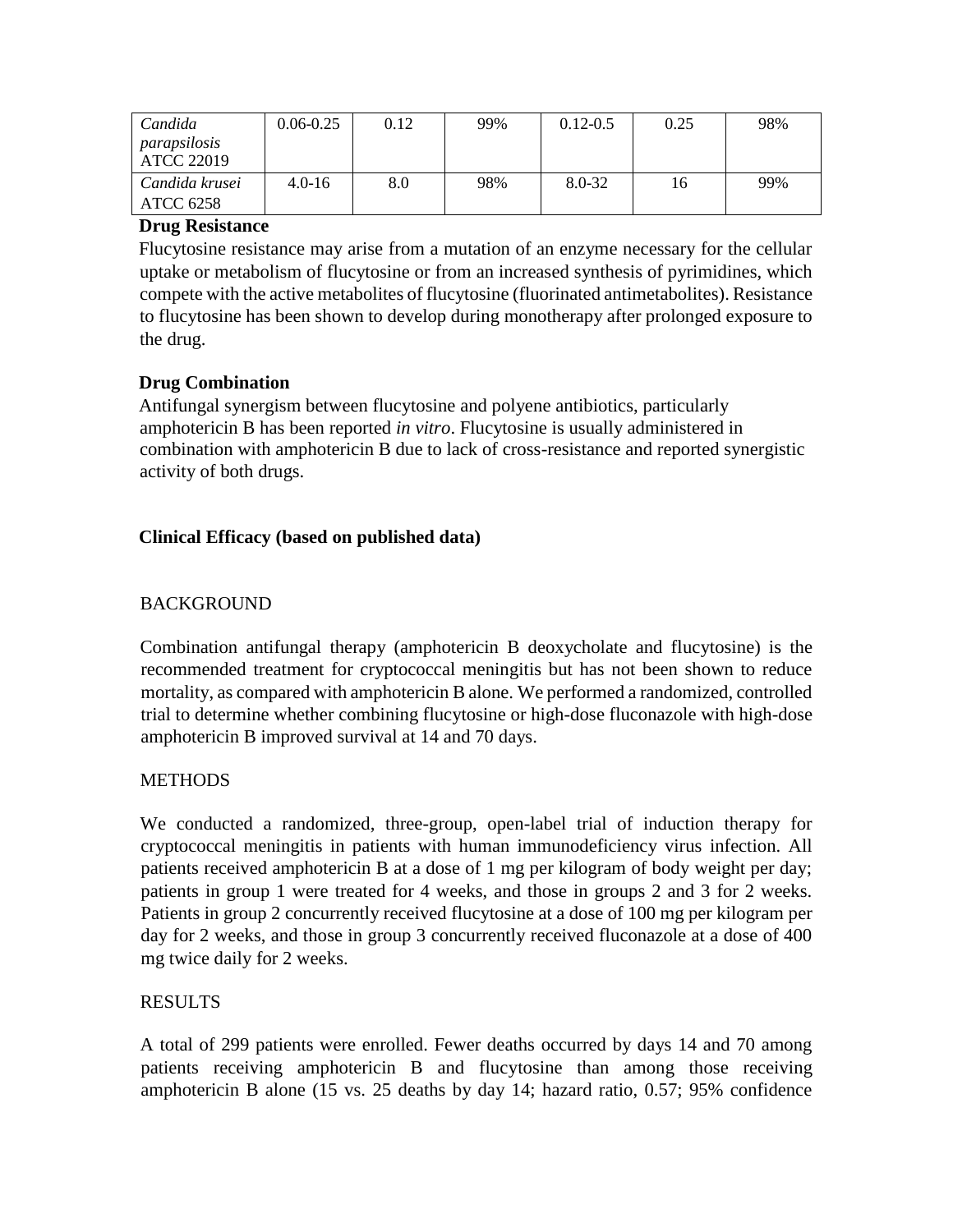| Candida<br>parapsilosis     | $0.06 - 0.25$ | 0.12 | 99% | $0.12 - 0.5$ | 0.25 | 98% |
|-----------------------------|---------------|------|-----|--------------|------|-----|
| ATCC 22019                  |               |      |     |              |      |     |
| Candida krusei<br>ATCC 6258 | $4.0 - 16$    | 8.0  | 98% | 8.0-32       | 16   | 99% |

## **Drug Resistance**

Flucytosine resistance may arise from a mutation of an enzyme necessary for the cellular uptake or metabolism of flucytosine or from an increased synthesis of pyrimidines, which compete with the active metabolites of flucytosine (fluorinated antimetabolites). Resistance to flucytosine has been shown to develop during monotherapy after prolonged exposure to the drug.

# **Drug Combination**

Antifungal synergism between flucytosine and polyene antibiotics, particularly amphotericin B has been reported *in vitro*. Flucytosine is usually administered in combination with amphotericin B due to lack of cross-resistance and reported synergistic activity of both drugs.

# **Clinical Efficacy (based on published data)**

# **BACKGROUND**

Combination antifungal therapy (amphotericin B deoxycholate and flucytosine) is the recommended treatment for cryptococcal meningitis but has not been shown to reduce mortality, as compared with amphotericin B alone. We performed a randomized, controlled trial to determine whether combining flucytosine or high-dose fluconazole with high-dose amphotericin B improved survival at 14 and 70 days.

# **METHODS**

We conducted a randomized, three-group, open-label trial of induction therapy for cryptococcal meningitis in patients with human immunodeficiency virus infection. All patients received amphotericin B at a dose of 1 mg per kilogram of body weight per day; patients in group 1 were treated for 4 weeks, and those in groups 2 and 3 for 2 weeks. Patients in group 2 concurrently received flucytosine at a dose of 100 mg per kilogram per day for 2 weeks, and those in group 3 concurrently received fluconazole at a dose of 400 mg twice daily for 2 weeks.

# RESULTS

A total of 299 patients were enrolled. Fewer deaths occurred by days 14 and 70 among patients receiving amphotericin B and flucytosine than among those receiving amphotericin B alone (15 vs. 25 deaths by day 14; hazard ratio, 0.57; 95% confidence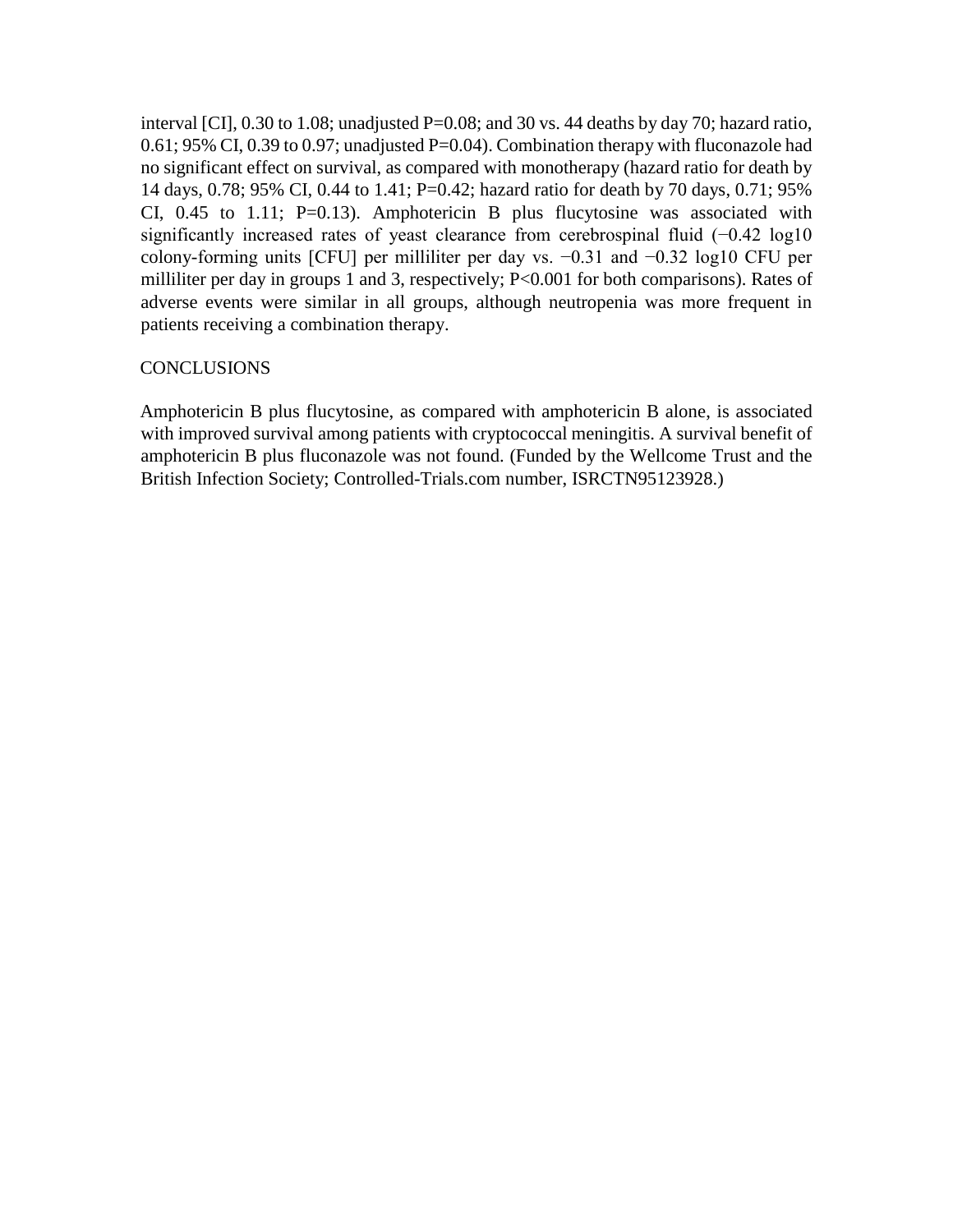interval [CI], 0.30 to 1.08; unadjusted P=0.08; and 30 vs. 44 deaths by day 70; hazard ratio, 0.61; 95% CI, 0.39 to 0.97; unadjusted P=0.04). Combination therapy with fluconazole had no significant effect on survival, as compared with monotherapy (hazard ratio for death by 14 days, 0.78; 95% CI, 0.44 to 1.41; P=0.42; hazard ratio for death by 70 days, 0.71; 95% CI,  $0.45$  to 1.11; P=0.13). Amphotericin B plus flucytosine was associated with significantly increased rates of yeast clearance from cerebrospinal fluid (−0.42 log10 colony-forming units [CFU] per milliliter per day vs. −0.31 and −0.32 log10 CFU per milliliter per day in groups 1 and 3, respectively; P<0.001 for both comparisons). Rates of adverse events were similar in all groups, although neutropenia was more frequent in patients receiving a combination therapy.

## **CONCLUSIONS**

Amphotericin B plus flucytosine, as compared with amphotericin B alone, is associated with improved survival among patients with cryptococcal meningitis. A survival benefit of amphotericin B plus fluconazole was not found. (Funded by the Wellcome Trust and the British Infection Society; Controlled-Trials.com number, ISRCTN95123928.)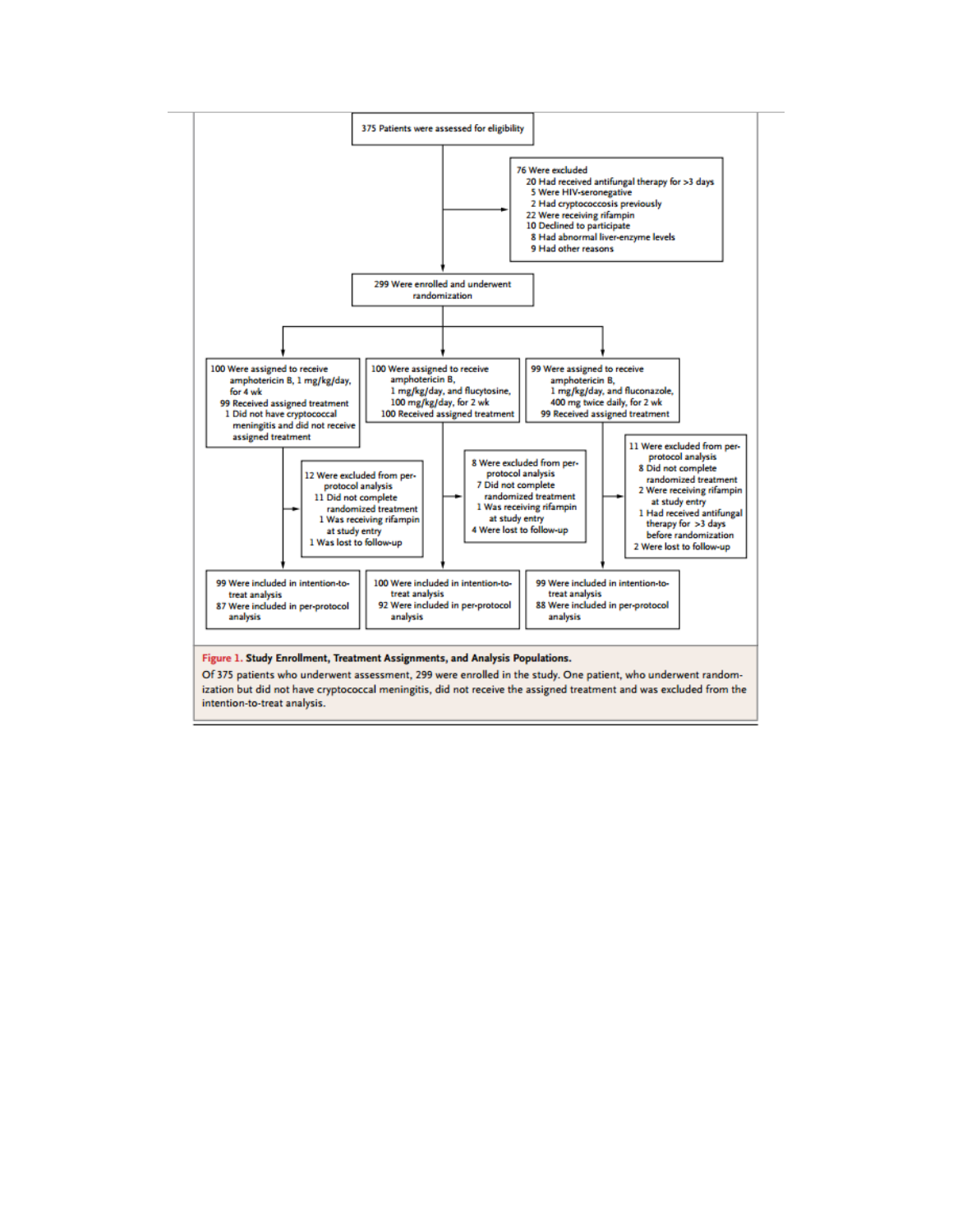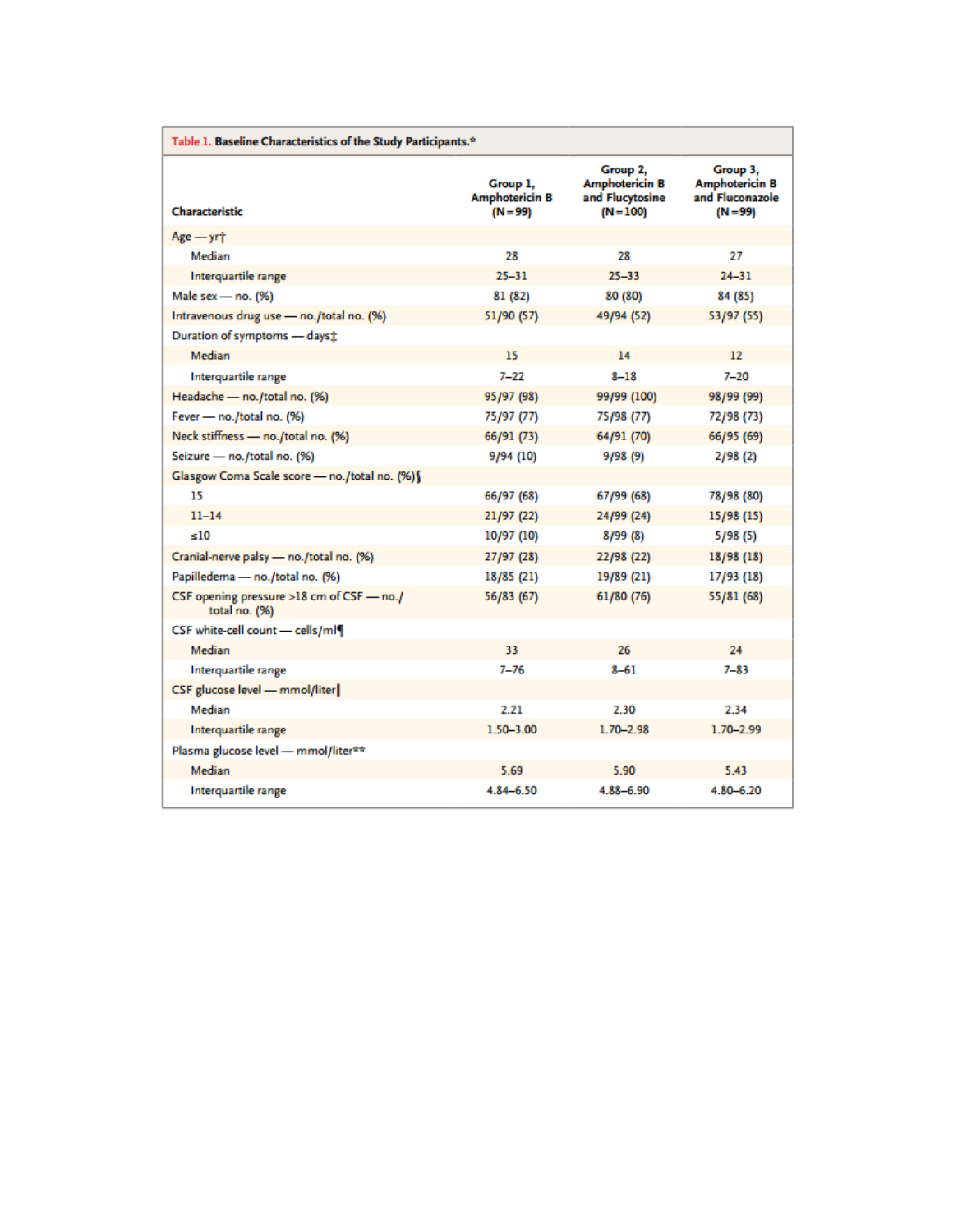| Table 1. Baseline Characteristics of the Study Participants. <sup>*</sup> |                                               |                                                                     |                                                                    |  |
|---------------------------------------------------------------------------|-----------------------------------------------|---------------------------------------------------------------------|--------------------------------------------------------------------|--|
| Characteristic                                                            | Group 1,<br><b>Amphotericin B</b><br>(N = 99) | Group 2,<br><b>Amphotericin B</b><br>and Flucytosine<br>$(N = 100)$ | Group 3,<br><b>Amphotericin B</b><br>and Fluconazole<br>$(N = 99)$ |  |
| $Age - yrt$                                                               |                                               |                                                                     |                                                                    |  |
| Median                                                                    | 28                                            | 28                                                                  | 27                                                                 |  |
| Interquartile range                                                       | $25 - 31$                                     | 25-33                                                               | $24 - 31$                                                          |  |
| Male sex - no. (%)                                                        | 81 (82)                                       | 80 (80)                                                             | 84 (85)                                                            |  |
| Intravenous drug use - no./total no. (%)                                  | 51/90 (57)                                    | 49/94 (52)                                                          | 53/97 (55)                                                         |  |
| Duration of symptoms - dayst                                              |                                               |                                                                     |                                                                    |  |
| Median                                                                    | 15                                            | 14                                                                  | 12                                                                 |  |
| Interquartile range                                                       | $7 - 22$                                      | $8 - 18$                                                            | $7 - 20$                                                           |  |
| Headache - no./total no. (%)                                              | 95/97 (98)                                    | 99/99 (100)                                                         | 98/99 (99)                                                         |  |
| Fever - no./total no. (%)                                                 | 75/97 (77)                                    | 75/98 (77)                                                          | 72/98 (73)                                                         |  |
| Neck stiffness - no./total no. (%)                                        | 66/91 (73)                                    | 64/91 (70)                                                          | 66/95 (69)                                                         |  |
| Seizure - no./total no. (%)                                               | 9/94 (10)                                     | 9/98 (9)                                                            | 2/98(2)                                                            |  |
| Glasgow Coma Scale score - no./total no. (%)§                             |                                               |                                                                     |                                                                    |  |
| 15                                                                        | 66/97 (68)                                    | 67/99 (68)                                                          | 78/98 (80)                                                         |  |
| $11 - 14$                                                                 | 21/97 (22)                                    | 24/99 (24)                                                          | 15/98 (15)                                                         |  |
| ≤10                                                                       | 10/97 (10)                                    | 8/99(8)                                                             | 5/98 (5)                                                           |  |
| Cranial-nerve palsy - no./total no. (%)                                   | 27/97 (28)                                    | 22/98 (22)                                                          | 18/98 (18)                                                         |  |
| Papilledema - no./total no. (%)                                           | 18/85 (21)                                    | 19/89 (21)                                                          | 17/93 (18)                                                         |  |
| CSF opening pressure >18 cm of CSF - no./<br>total no. (%)                | 56/83 (67)                                    | 61/80 (76)                                                          | 55/81 (68)                                                         |  |
| CSF white-cell count - cells/ml                                           |                                               |                                                                     |                                                                    |  |
| Median                                                                    | 33                                            | 26                                                                  | 24                                                                 |  |
| Interquartile range                                                       | $7 - 76$                                      | $8 - 61$                                                            | $7 - 83$                                                           |  |
| CSF glucose level - mmol/liter                                            |                                               |                                                                     |                                                                    |  |
| Median                                                                    | 2.21                                          | 2.30                                                                | 2.34                                                               |  |
| Interquartile range                                                       | $1.50 - 3.00$                                 | $1.70 - 2.98$                                                       | $1.70 - 2.99$                                                      |  |
| Plasma glucose level - mmol/liter**                                       |                                               |                                                                     |                                                                    |  |
| Median                                                                    | 5.69                                          | 5.90                                                                | 5.43                                                               |  |
| Interquartile range                                                       | 4.84-6.50                                     | 4.88-6.90                                                           | 480-620                                                            |  |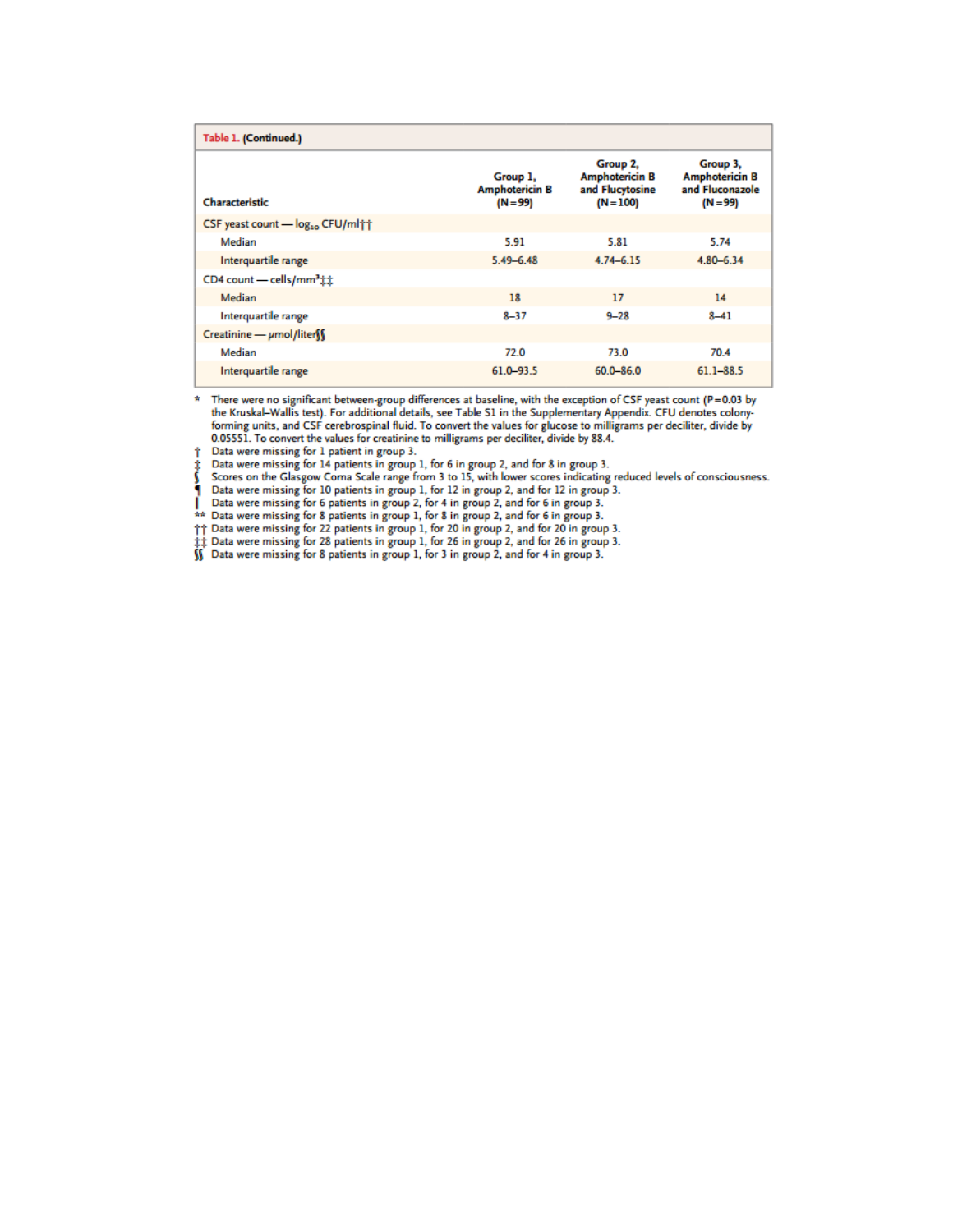| Table 1. (Continued.)                                    |                                                 |                                                                     |                                                                    |
|----------------------------------------------------------|-------------------------------------------------|---------------------------------------------------------------------|--------------------------------------------------------------------|
| Characteristic                                           | Group 1,<br><b>Amphotericin B</b><br>$(N = 99)$ | Group 2,<br><b>Amphotericin B</b><br>and Flucytosine<br>$(N = 100)$ | Group 3,<br><b>Amphotericin B</b><br>and Fluconazole<br>$(N = 99)$ |
| CSF yeast count - log <sub>10</sub> CFU/ml <sup>++</sup> |                                                 |                                                                     |                                                                    |
| Median                                                   | 5.91                                            | 5.81                                                                | 5.74                                                               |
| Interquartile range                                      | $5.49 - 6.48$                                   | $4.74 - 6.15$                                                       | $4.80 - 6.34$                                                      |
| CD4 count - cells/mm <sup>3</sup> ##                     |                                                 |                                                                     |                                                                    |
| Median                                                   | 18                                              | 17                                                                  | 14                                                                 |
| Interquartile range                                      | $8 - 37$                                        | $9 - 28$                                                            | $8 - 41$                                                           |
| $Creating - \mumol/liter$                                |                                                 |                                                                     |                                                                    |
| Median                                                   | 72.0                                            | 73.0                                                                | 70.4                                                               |
| Interquartile range                                      | $61.0 - 93.5$                                   | $60.0 - 86.0$                                                       | $61.1 - 88.5$                                                      |

 $*$  There were no significant between-group differences at baseline, with the exception of CSF yeast count (P=0.03 by the Kruskal–Wallis test). For additional details, see Table S1 in the Supplementary Appendix. CFU denot forming units, and CSF cerebrospinal fluid. To convert the values for glucose to milligrams per deciliter, divide by 0.05551. To convert the values for creatinine to milligrams per deciliter, divide by 88.4.

Data were missing for 1 patient in group 3. Ť

Plata were missing for 14 patients in group 1, for 6 in group 2, and for 8 in group 3.<br>
Scores on the Glasgow Coma Scale range from 3 to 15, with lower scores indicating reduced levels of consciousness.<br>
A Data were missin

|| Data were missing for 22 patients in group 1, for 20 in group 2, and for 20 in group 3.

 $\ddagger\ddagger$  Data were missing for 28 patients in group 1, for 26 in group 2, and for 26 in group 3.<br> $\dot{M}$  Data were missing for 8 patients in group 1, for 3 in group 2, and for 4 in group 3.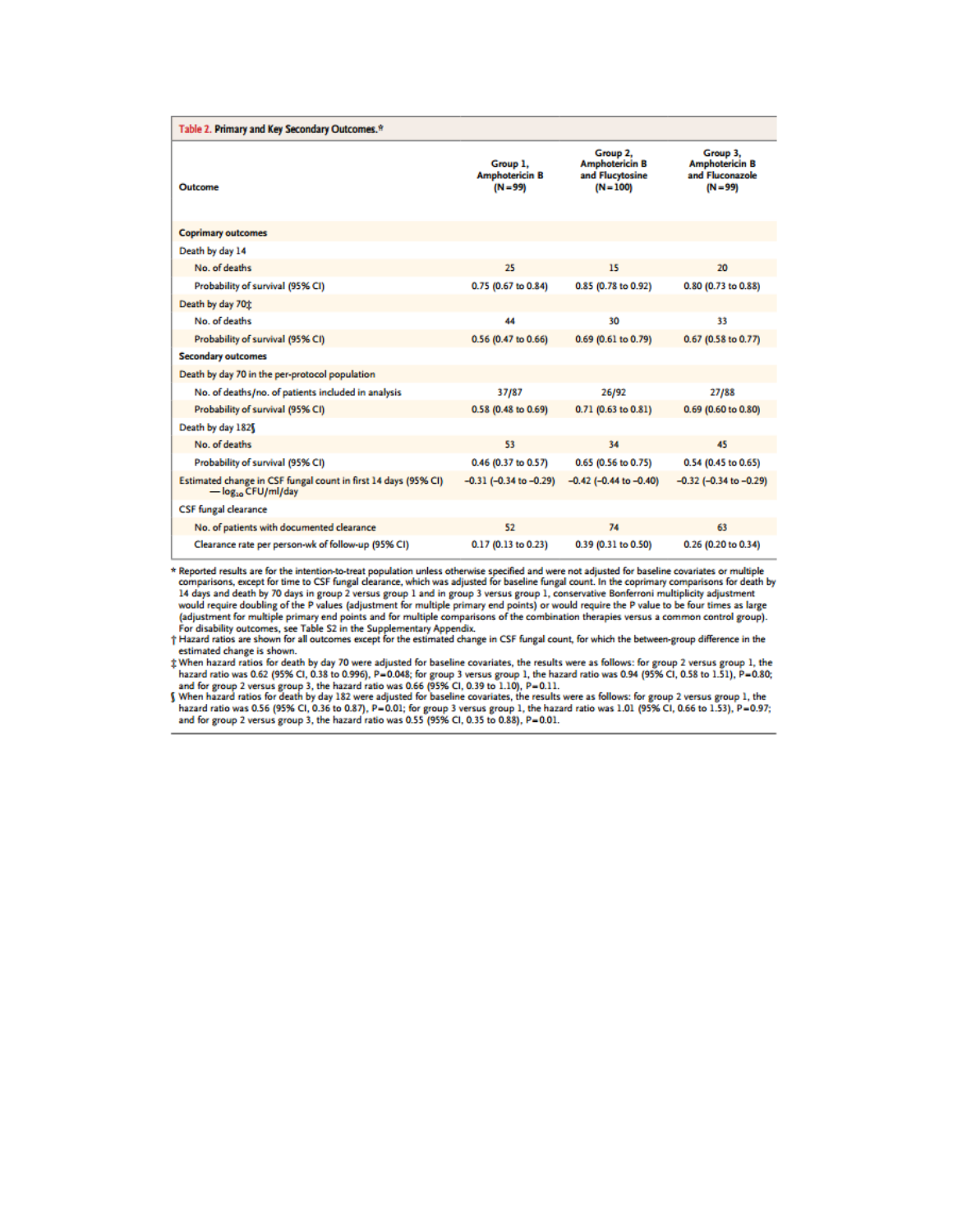| Table 2. Primary and Key Secondary Outcomes.*                                             |                                                 |                                                                     |                                                                    |
|-------------------------------------------------------------------------------------------|-------------------------------------------------|---------------------------------------------------------------------|--------------------------------------------------------------------|
| Outcome                                                                                   | Group 1.<br><b>Amphotericin B</b><br>$(N = 99)$ | Group 2.<br><b>Amphotericin B</b><br>and Flucytosine<br>$(N = 100)$ | Group 3.<br><b>Amphotericin B</b><br>and Fluconazole<br>$(N = 99)$ |
| <b>Coprimary outcomes</b>                                                                 |                                                 |                                                                     |                                                                    |
| Death by day 14                                                                           |                                                 |                                                                     |                                                                    |
| No. of deaths                                                                             | 25                                              | 15                                                                  | 20                                                                 |
| Probability of survival (95% CI)                                                          | 0.75 (0.67 to 0.84)                             | 0.85 (0.78 to 0.92)                                                 | 0.80 (0.73 to 0.88)                                                |
| Death by day 70 <sup>t</sup>                                                              |                                                 |                                                                     |                                                                    |
| No. of deaths                                                                             | 44                                              | 30                                                                  | 33                                                                 |
| Probability of survival (95% CI)                                                          | 0.56 (0.47 to 0.66)                             | 0.69 (0.61 to 0.79)                                                 | 0.67 (0.58 to 0.77)                                                |
| <b>Secondary outcomes</b>                                                                 |                                                 |                                                                     |                                                                    |
| Death by day 70 in the per-protocol population                                            |                                                 |                                                                     |                                                                    |
| No. of deaths/no. of patients included in analysis                                        | 37/87                                           | 26/92                                                               | 27/88                                                              |
| Probability of survival (95% CI)                                                          | 0.58 (0.48 to 0.69)                             | 0.71 (0.63 to 0.81)                                                 | 0.69 (0.60 to 0.80)                                                |
| Death by day 182                                                                          |                                                 |                                                                     |                                                                    |
| No. of deaths                                                                             | 53                                              | 34                                                                  | 45                                                                 |
| Probability of survival (95% CI)                                                          | 0.46 (0.37 to 0.57)                             | 0.65 (0.56 to 0.75)                                                 | 0.54 (0.45 to 0.65)                                                |
| Estimated change in CSF fungal count in first 14 days (95% CI)<br>$-\log_{10}$ CFU/ml/day | $-0.31$ ( $-0.34$ to $-0.29$ )                  | $-0.42$ (-0.44 to $-0.40$ )                                         | $-0.32$ ( $-0.34$ to $-0.29$ )                                     |
| <b>CSF</b> fungal clearance                                                               |                                                 |                                                                     |                                                                    |
| No. of patients with documented clearance                                                 | 52                                              | 74                                                                  | 63                                                                 |
| Clearance rate per person-wk of follow-up (95% CI)                                        | 0.17 (0.13 to 0.23)                             | 0.39 (0.31 to 0.50)                                                 | 0.26 (0.20 to 0.34)                                                |

\* Reported results are for the intention-to-treat population unless otherwise specified and were not adjusted for baseline covariates or multiple comparisons, except for time to CSF fungal clearance, which was adjusted for Leading and death by 70 days in group 2 versus group 1 and in group 3 versus group 1, conservative Bonferroni multiplicity adjustment<br>and death by 70 days in group 2 versus group 1 and in group 3 versus group 1, conservati

estimated change is shown.

estimated change is shown.<br>  $\ddagger$  When hazard ratio was 0.62 (95% CI, 0.38 to 0.996), P=0.048; for group 3 versus group 1, the hazard ratio was 0.94 (95% CI, 0.58 to 1.51), P=0.80;<br>
hazard ratio was 0.62 (95% CI, 0.38 to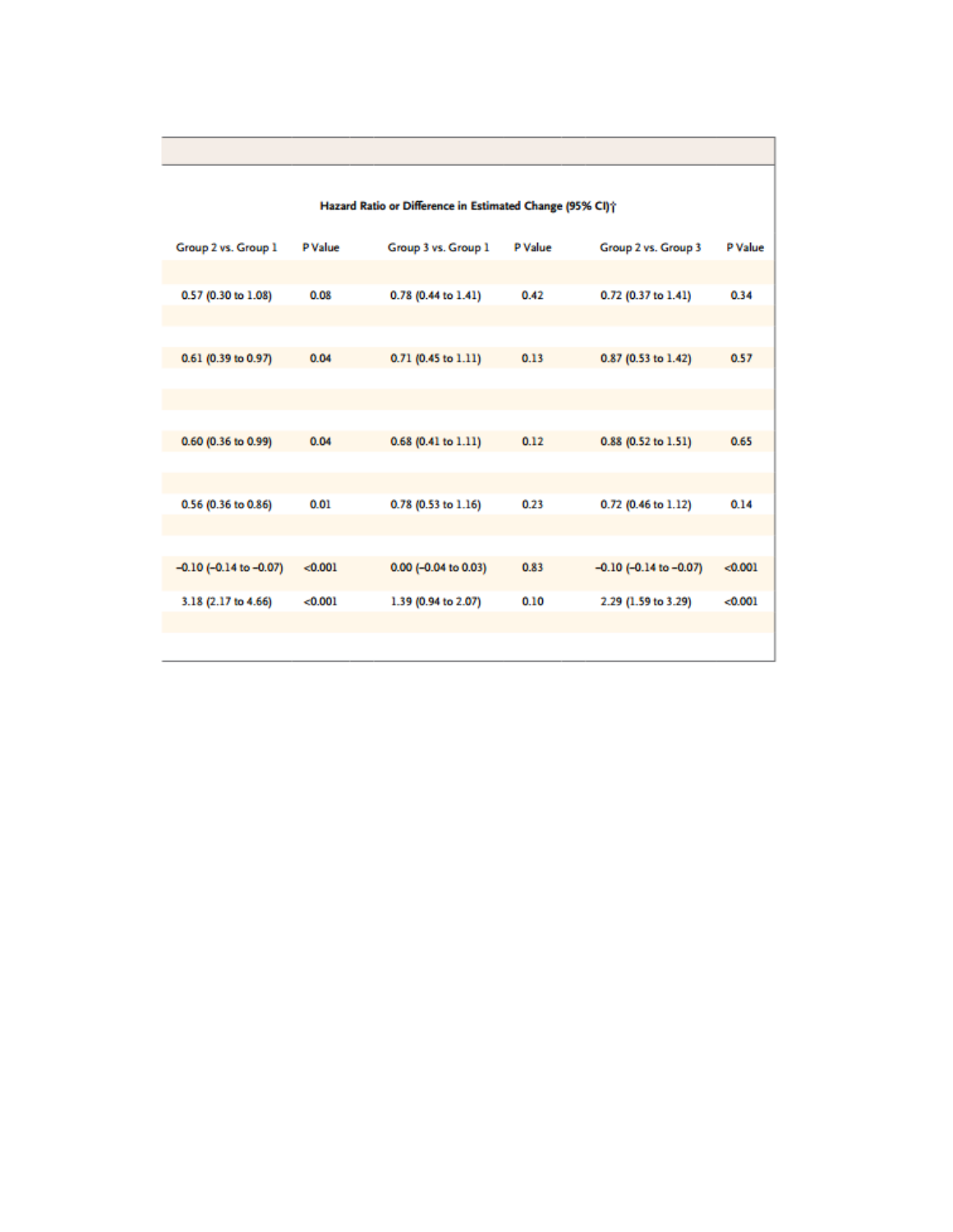|                             |         | Hazard Ratio or Difference in Estimated Change (95% CI)? |         |                             |         |
|-----------------------------|---------|----------------------------------------------------------|---------|-----------------------------|---------|
| Group 2 vs. Group 1         | P Value | Group 3 vs. Group 1                                      | P Value | Group 2 vs. Group 3         | P Value |
| 0.57 (0.30 to 1.08)         | 0.08    | 0.78 (0.44 to 1.41)                                      | 0.42    | 0.72 (0.37 to 1.41)         | 0.34    |
|                             |         |                                                          |         |                             |         |
| 0.61 (0.39 to 0.97)         | 0.04    | 0.71 (0.45 to 1.11)                                      | 0.13    | 0.87 (0.53 to 1.42)         | 0.57    |
|                             |         |                                                          |         |                             |         |
| 0.60 (0.36 to 0.99)         | 0.04    | 0.68 (0.41 to 1.11)                                      | 0.12    | 0.88 (0.52 to 1.51)         | 0.65    |
| 0.56 (0.36 to 0.86)         | 0.01    | 0.78 (0.53 to 1.16)                                      | 0.23    | 0.72 (0.46 to 1.12)         | 0.14    |
|                             |         |                                                          |         |                             |         |
| $-0.10$ (-0.14 to $-0.07$ ) | < 0.001 | 0.00 (-0.04 to 0.03)                                     | 0.83    | $-0.10$ (-0.14 to $-0.07$ ) | < 0.001 |
| 3.18 (2.17 to 4.66)         | < 0.001 | 1.39 (0.94 to 2.07)                                      | 0.10    | 2.29 (1.59 to 3.29)         | < 0.001 |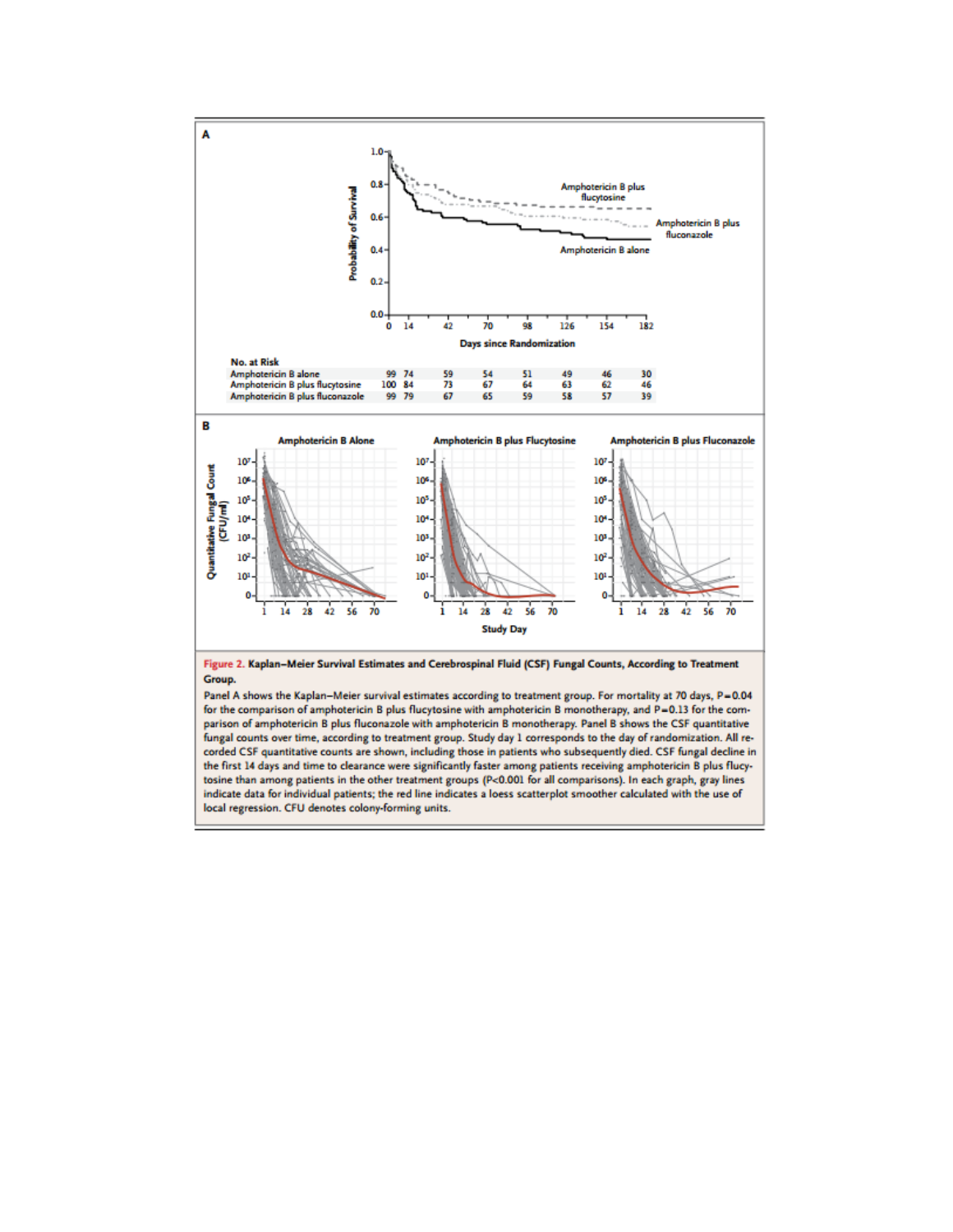

for the comparison of amphotericin B plus flucytosine with amphotericin B monotherapy, and P=0.13 for the comparison of amphotericin B plus fluconazole with amphotericin B monotherapy. Panel B shows the CSF quantitative fungal counts over time, according to treatment group. Study day 1 corresponds to the day of randomization. All recorded CSF quantitative counts are shown, including those in patients who subsequently died. CSF fungal decline in the first 14 days and time to clearance were significantly faster among patients receiving amphotericin B plus flucytosine than among patients in the other treatment groups (P<0.001 for all comparisons). In each graph, gray lines indicate data for individual patients; the red line indicates a loess scatterplot smoother calculated with the use of local regression. CFU denotes colony-forming units.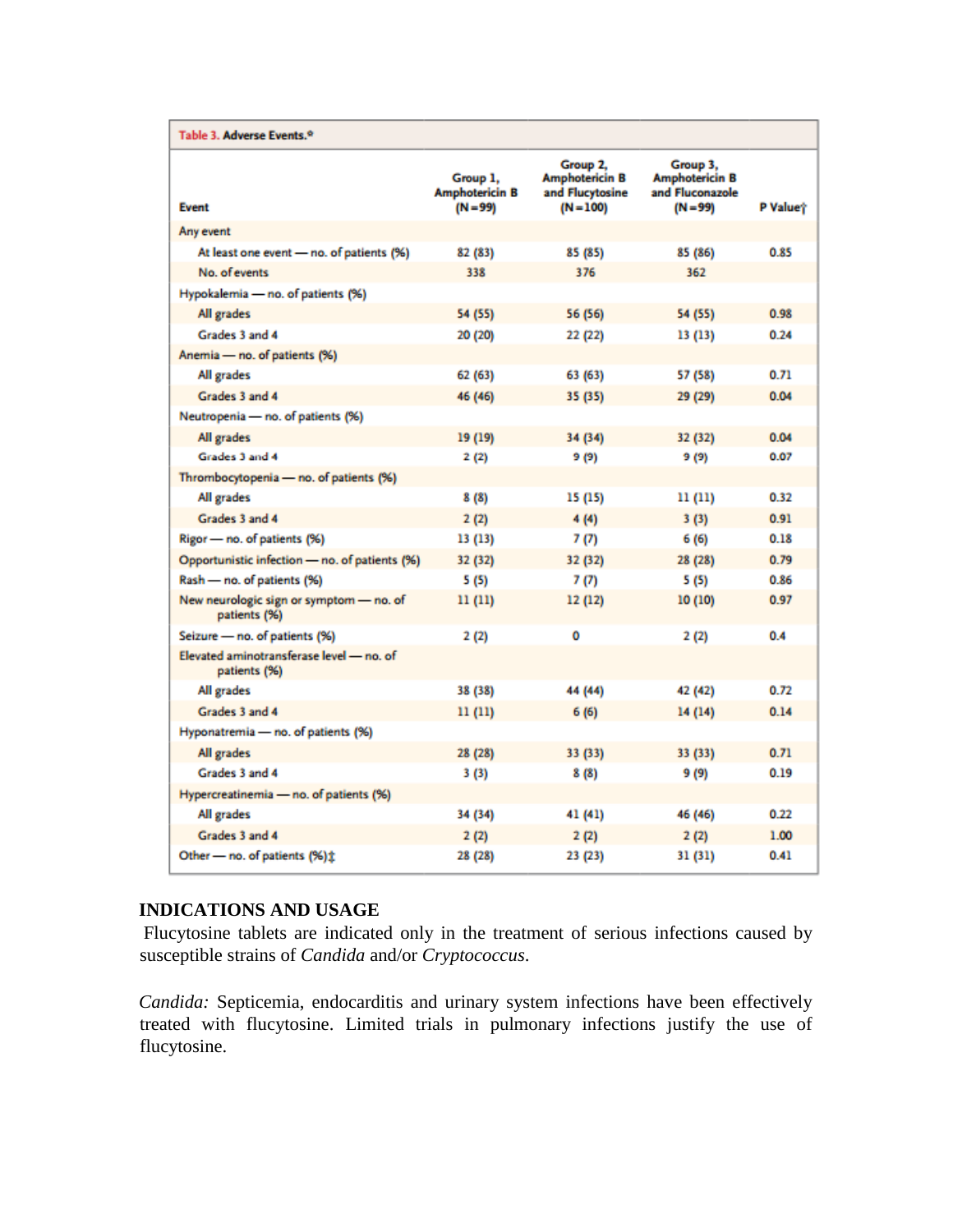| Table 3. Adverse Events. <sup>9</sup>                    |                                                 |                                                                     |                                                                    |          |
|----------------------------------------------------------|-------------------------------------------------|---------------------------------------------------------------------|--------------------------------------------------------------------|----------|
| <b>Event</b>                                             | Group 1,<br><b>Amphotericin B</b><br>$(N = 99)$ | Group 2,<br><b>Amphotericin B</b><br>and Flucytosine<br>$(N = 100)$ | Group 3,<br><b>Amphotericin B</b><br>and Fluconazole<br>$(N = 99)$ | P Valuet |
| Any event                                                |                                                 |                                                                     |                                                                    |          |
| At least one event - no. of patients (%)                 | 82 (83)                                         | 85 (85)                                                             | 85 (86)                                                            | 0.85     |
| No. of events                                            | 338                                             | 376                                                                 | 362                                                                |          |
| Hypokalemia - no. of patients (%)                        |                                                 |                                                                     |                                                                    |          |
| All grades                                               | 54 (55)                                         | 56 (56)                                                             | 54 (55)                                                            | 0.98     |
| Grades 3 and 4                                           | 20 (20)                                         | 22 (22)                                                             | 13 (13)                                                            | 0.24     |
| Anemia - no. of patients (%)                             |                                                 |                                                                     |                                                                    |          |
| All grades                                               | 62 (63)                                         | 63 (63)                                                             | 57 (58)                                                            | 0.71     |
| Grades 3 and 4                                           | 46 (46)                                         | 35 (35)                                                             | 29 (29)                                                            | 0.04     |
| Neutropenia - no. of patients (%)                        |                                                 |                                                                     |                                                                    |          |
| All grades                                               | 19 (19)                                         | 34 (34)                                                             | 32 (32)                                                            | 0.04     |
| Grades 3 and 4                                           | 2(2)                                            | 9 (9)                                                               | 9 (9)                                                              | 0.07     |
| Thrombocytopenia - no. of patients (%)                   |                                                 |                                                                     |                                                                    |          |
| All grades                                               | 8(8)                                            | 15 (15)                                                             | 11 (11)                                                            | 0.32     |
| Grades 3 and 4                                           | 2(2)                                            | 4(4)                                                                | 3(3)                                                               | 0.91     |
| Rigor - no. of patients (%)                              | 13 (13)                                         | 7(7)                                                                | 6 (6)                                                              | 0.18     |
| Opportunistic infection - no. of patients (%)            | 32 (32)                                         | 32 (32)                                                             | 28 (28)                                                            | 0.79     |
| Rash - no. of patients (%)                               | 5 (5)                                           | 7(7)                                                                | 5(5)                                                               | 0.86     |
| New neurologic sign or symptom - no. of<br>patients (%)  | 11(11)                                          | 12(12)                                                              | 10(10)                                                             | 0.97     |
| Seizure - no. of patients (%)                            | 2(2)                                            | Ō                                                                   | 2(2)                                                               | 0.4      |
| Elevated aminotransferase level - no. of<br>patients (%) |                                                 |                                                                     |                                                                    |          |
| All grades                                               | 38 (38)                                         | 44 (44)                                                             | 42 (42)                                                            | 0.72     |
| Grades 3 and 4                                           | 11(11)                                          | 6(6)                                                                | 14(14)                                                             | 0.14     |
| Hyponatremia - no. of patients (%)                       |                                                 |                                                                     |                                                                    |          |
| All grades                                               | 28 (28)                                         | 33 (33)                                                             | 33 (33)                                                            | 0.71     |
| Grades 3 and 4                                           | 3(3)                                            | 8(8)                                                                | 9 (9)                                                              | 0.19     |
| Hypercreatinemia - no. of patients (%)                   |                                                 |                                                                     |                                                                    |          |
| All grades                                               | 34 (34)                                         | 41 (41)                                                             | 46 (46)                                                            | 0.22     |
| Grades 3 and 4                                           | 2(2)                                            | 2(2)                                                                | 2(2)                                                               | 1.00     |
| Other - no. of patients (%) ±                            | 28 (28)                                         | 23 (23)                                                             | 31 (31)                                                            | 0.41     |

## **INDICATIONS AND USAGE**

Flucytosine tablets are indicated only in the treatment of serious infections caused by susceptible strains of *Candida* and/or *Cryptococcus*.

*Candida:* Septicemia, endocarditis and urinary system infections have been effectively treated with flucytosine. Limited trials in pulmonary infections justify the use of flucytosine.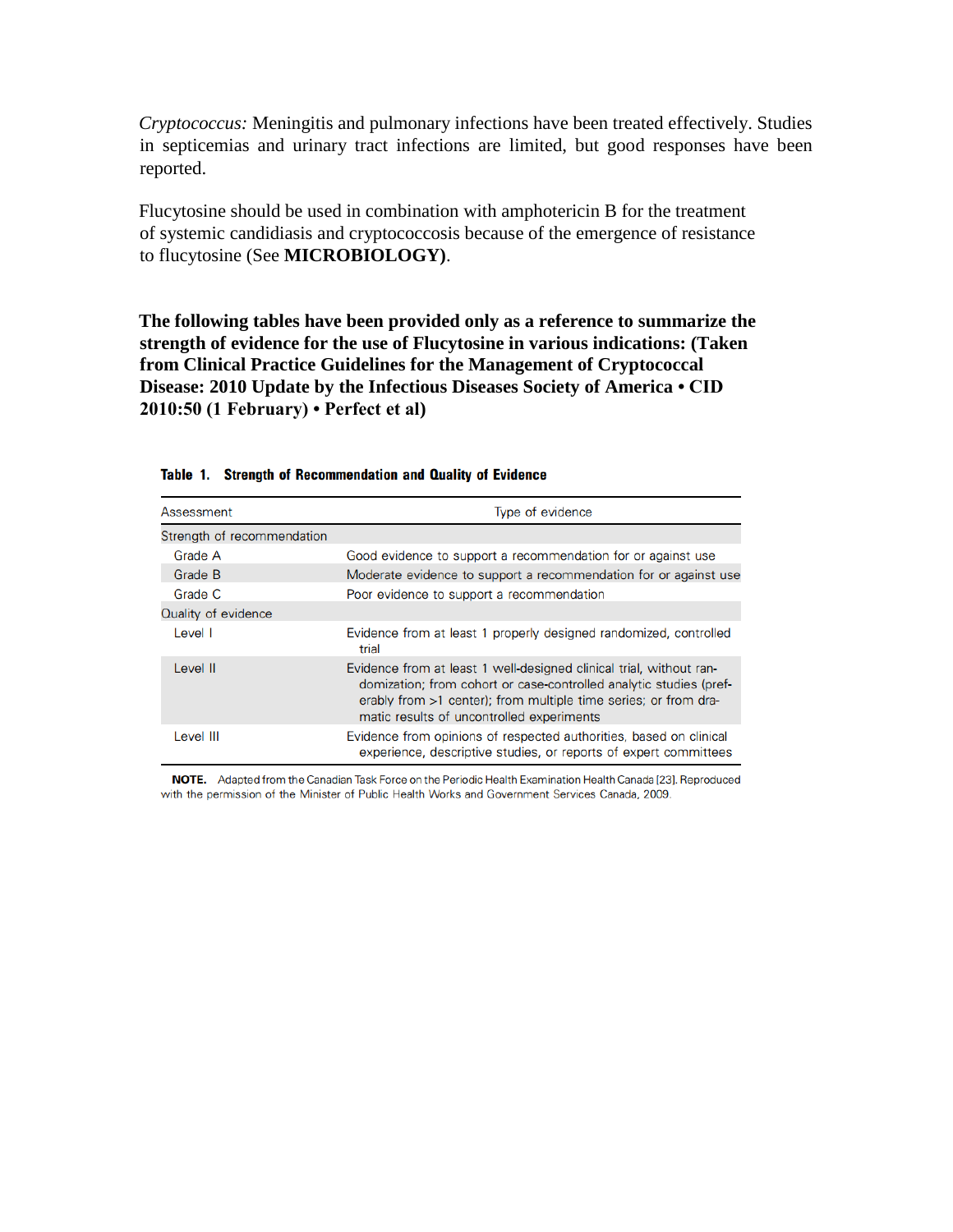*Cryptococcus:* Meningitis and pulmonary infections have been treated effectively. Studies in septicemias and urinary tract infections are limited, but good responses have been reported.

Flucytosine should be used in combination with amphotericin B for the treatment of systemic candidiasis and cryptococcosis because of the emergence of resistance to flucytosine (See **MICROBIOLOGY)**.

**The following tables have been provided only as a reference to summarize the strength of evidence for the use of Flucytosine in various indications: (Taken from Clinical Practice Guidelines for the Management of Cryptococcal Disease: 2010 Update by the Infectious Diseases Society of America • CID 2010:50 (1 February) • Perfect et al)**

| Assessment                 | Type of evidence                                                                                                                                                                                                                                          |
|----------------------------|-----------------------------------------------------------------------------------------------------------------------------------------------------------------------------------------------------------------------------------------------------------|
| Strength of recommendation |                                                                                                                                                                                                                                                           |
| Grade A                    | Good evidence to support a recommendation for or against use                                                                                                                                                                                              |
| Grade B                    | Moderate evidence to support a recommendation for or against use                                                                                                                                                                                          |
| Grade C                    | Poor evidence to support a recommendation                                                                                                                                                                                                                 |
| Quality of evidence        |                                                                                                                                                                                                                                                           |
| Level I                    | Evidence from at least 1 properly designed randomized, controlled<br>trial                                                                                                                                                                                |
| Level II                   | Evidence from at least 1 well-designed clinical trial, without ran-<br>domization; from cohort or case-controlled analytic studies (pref-<br>erably from >1 center); from multiple time series; or from dra-<br>matic results of uncontrolled experiments |
| Level III                  | Evidence from opinions of respected authorities, based on clinical<br>experience, descriptive studies, or reports of expert committees                                                                                                                    |

Table 1. Strength of Recommendation and Quality of Evidence

NOTE. Adapted from the Canadian Task Force on the Periodic Health Examination Health Canada [23]. Reproduced with the permission of the Minister of Public Health Works and Government Services Canada, 2009.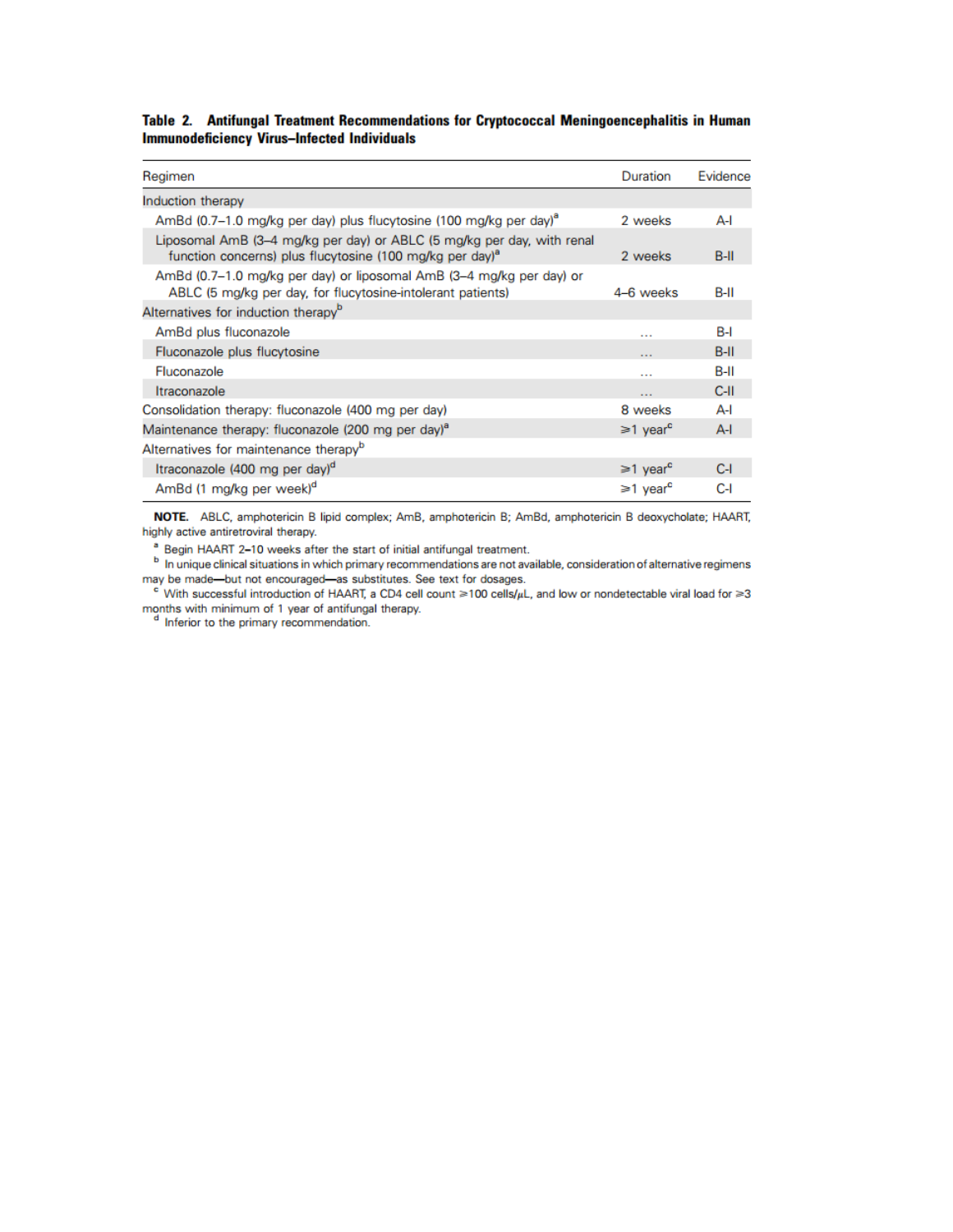Table 2. Antifungal Treatment Recommendations for Cryptococcal Meningoencephalitis in Human **Immunodeficiency Virus-Infected Individuals** 

| Regimen                                                                                                                                        | Duration                   | Evidence |
|------------------------------------------------------------------------------------------------------------------------------------------------|----------------------------|----------|
| Induction therapy                                                                                                                              |                            |          |
| AmBd (0.7-1.0 mg/kg per day) plus flucytosine (100 mg/kg per day) <sup>a</sup>                                                                 | 2 weeks                    | A-l      |
| Liposomal AmB (3–4 mg/kg per day) or ABLC (5 mg/kg per day, with renal<br>function concerns) plus flucytosine (100 mg/kg per day) <sup>a</sup> | 2 weeks                    | $B-H$    |
| AmBd (0.7–1.0 mg/kg per day) or liposomal AmB (3–4 mg/kg per day) or<br>ABLC (5 mg/kg per day, for flucytosine-intolerant patients)            | 4-6 weeks                  | B-II     |
| Alternatives for induction therapy <sup>b</sup>                                                                                                |                            |          |
| AmBd plus fluconazole                                                                                                                          | $\cdots$                   | B-I      |
| Fluconazole plus flucytosine                                                                                                                   | $\cdots$                   | $B-H$    |
| Fluconazole                                                                                                                                    | $\cdots$                   | $B-H$    |
| Itraconazole                                                                                                                                   | $\cdots$                   | $C-H$    |
| Consolidation therapy: fluconazole (400 mg per day)                                                                                            | 8 weeks                    | A-l      |
| Maintenance therapy: fluconazole (200 mg per day) <sup>a</sup>                                                                                 | $\geq 1$ year <sup>c</sup> | $A-I$    |
| Alternatives for maintenance therapy <sup>b</sup>                                                                                              |                            |          |
| Itraconazole (400 mg per day) <sup>d</sup>                                                                                                     | $\geq 1$ year <sup>c</sup> | C-I      |
| AmBd (1 mg/kg per week) <sup>d</sup>                                                                                                           | ≥1 year <sup>c</sup>       | C-I      |

NOTE. ABLC, amphotericin B lipid complex; AmB, amphotericin B; AmBd, amphotericin B deoxycholate; HAART, highly active antiretroviral therapy.

<sup>a</sup> Begin HAART 2-10 weeks after the start of initial antifungal treatment.

In unique clinical situations in which primary recommendations are not available, consideration of alternative regimens may be made-but not encouraged-as substitutes. See text for dosages.

e' With successful introduction of HAART, a CD4 cell count  $\geq 100$  cells/ $\mu$ L, and low or nondetectable viral load for  $\geq 3$ months with minimum of 1 year of antifungal therapy.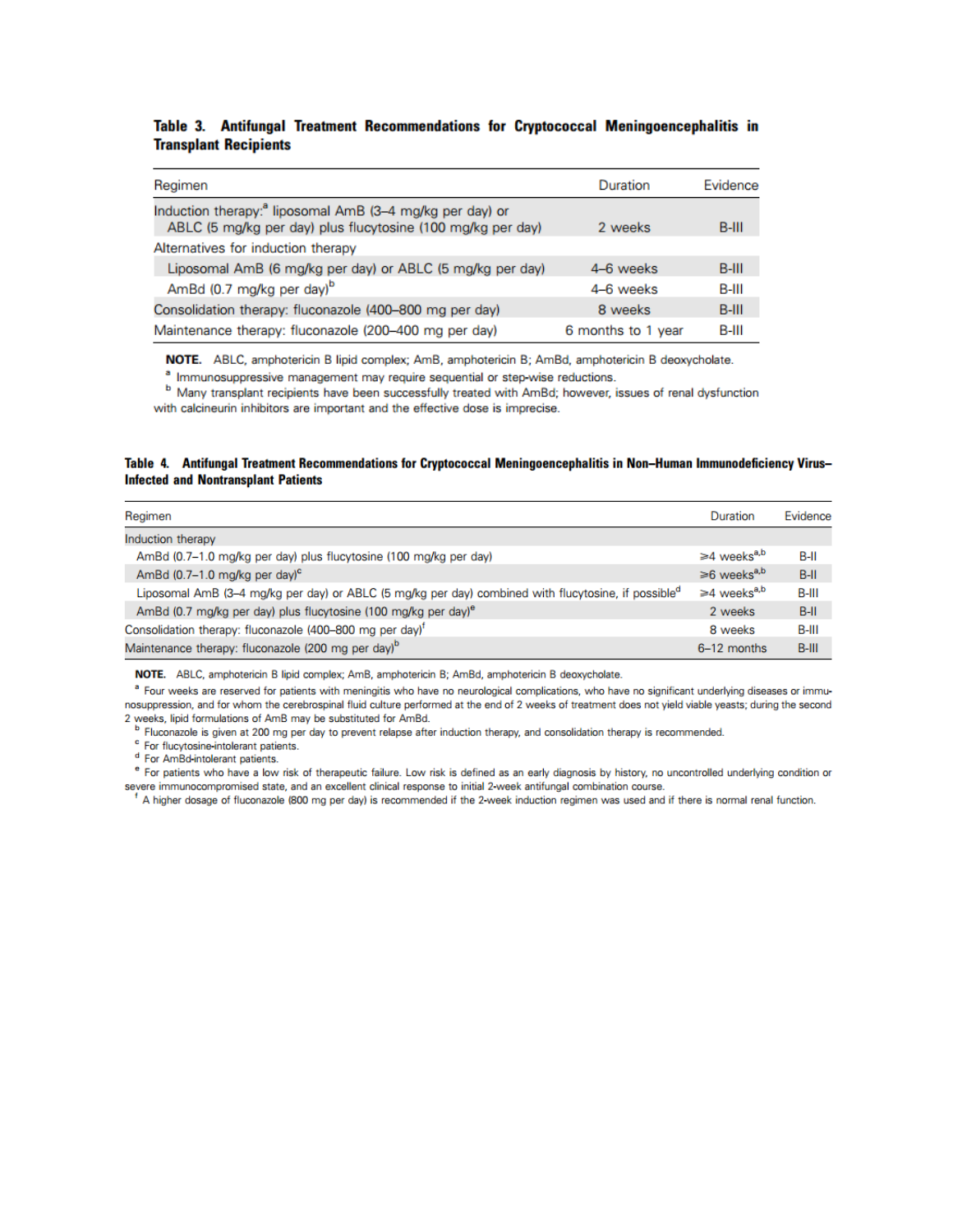#### Table 3. Antifungal Treatment Recommendations for Cryptococcal Meningoencephalitis in **Transplant Recipients**

| Regimen                                                                                                                             | Duration           | Evidence |
|-------------------------------------------------------------------------------------------------------------------------------------|--------------------|----------|
| Induction therapy: <sup>8</sup> liposomal AmB (3-4 mg/kg per day) or<br>ABLC (5 mg/kg per day) plus flucytosine (100 mg/kg per day) | 2 weeks            | $B-III$  |
| Alternatives for induction therapy                                                                                                  |                    |          |
| Liposomal AmB (6 mg/kg per day) or ABLC (5 mg/kg per day)                                                                           | 4-6 weeks          | B-III    |
| AmBd (0.7 mg/kg per day) <sup>b</sup>                                                                                               | 4-6 weeks          | B-III    |
| Consolidation therapy: fluconazole (400-800 mg per day)                                                                             | 8 weeks            | $B-III$  |
| Maintenance therapy: fluconazole (200-400 mg per day)                                                                               | 6 months to 1 year | B-III    |

NOTE. ABLC, amphotericin B lipid complex; AmB, amphotericin B; AmBd, amphotericin B deoxycholate.

<sup>a</sup> Immunosuppressive management may require sequential or step-wise reductions.

<sup>b</sup> Many transplant recipients have been successfully treated with AmBd; however, issues of renal dysfunction with calcineurin inhibitors are important and the effective dose is imprecise.

#### Table 4. Antifungal Treatment Recommendations for Cryptococcal Meningoencephalitis in Non-Human Immunodeficiency Virus-**Infected and Nontransplant Patients**

| Regimen                                                                                                         | Duration                      | Evidence |
|-----------------------------------------------------------------------------------------------------------------|-------------------------------|----------|
| Induction therapy                                                                                               |                               |          |
| AmBd (0.7-1.0 mg/kg per day) plus flucytosine (100 mg/kg per day)                                               | $\geq 4$ weeks <sup>a,b</sup> | B-II     |
| AmBd $(0.7-1.0 \text{ ma/kg}$ per day) <sup>c</sup>                                                             | $\geq 6$ weeks <sup>a,b</sup> | $B-H$    |
| Liposomal AmB (3-4 mg/kg per day) or ABLC (5 mg/kg per day) combined with flucytosine, if possible <sup>d</sup> | $\geq 4$ weeks <sup>a,b</sup> | B-III    |
| AmBd (0.7 mg/kg per day) plus flucytosine (100 mg/kg per day) <sup>e</sup>                                      | 2 weeks                       | $B-H$    |
| Consolidation therapy: fluconazole (400-800 mg per day) <sup>t</sup>                                            | 8 weeks                       | B-III    |
| Maintenance therapy: fluconazole (200 mg per day) <sup>b</sup>                                                  | 6-12 months                   | $B-HI$   |

NOTE. ABLC, amphotericin B lipid complex; AmB, amphotericin B; AmBd, amphotericin B deoxycholate.

<sup>a</sup> Four weeks are reserved for patients with meningitis who have no neurological complications, who have no significant underlying diseases or immunosuppression, and for whom the cerebrospinal fluid culture performed at the end of 2 weeks of treatment does not yield viable yeasts; during the second 2 weeks, lipid formulations of AmB may be substituted for AmBd.

<sup>b</sup> Fluconazole is given at 200 mg per day to prevent relapse after induction therapy, and consolidation therapy is recommended.

<sup>c</sup> For flucytosine-intolerant patients.

<sup>d</sup> For AmBd-intolerant patients.

e For patients who have a low risk of therapeutic failure. Low risk is defined as an early diagnosis by history, no uncontrolled underlying condition or severe immunocompromised state, and an excellent clinical response to initial 2-week antifungal combination course.

A higher dosage of fluconazole (800 mg per day) is recommended if the 2-week induction regimen was used and if there is normal renal function.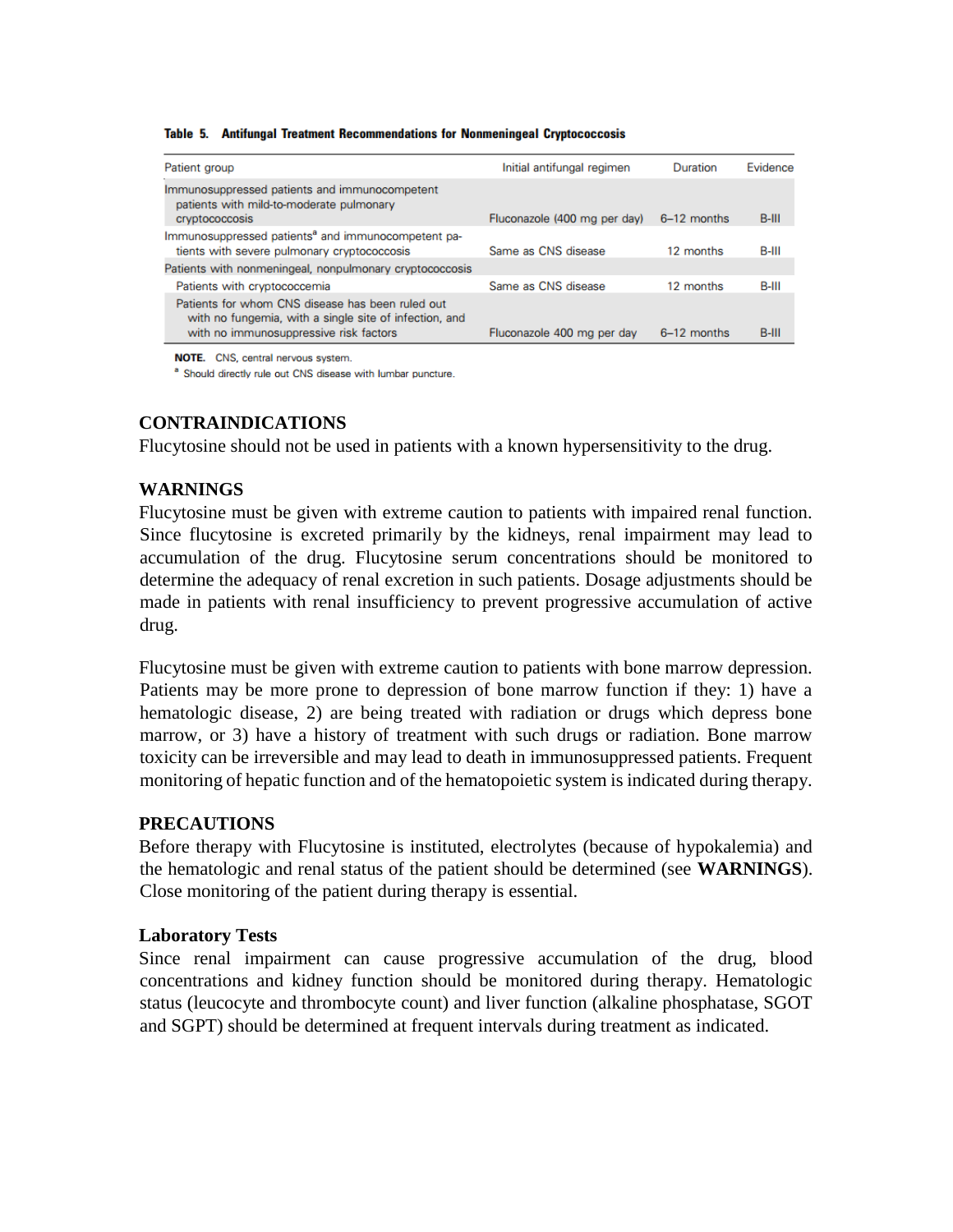| Patient group                                                                                                                                                            | Initial antifungal regimen   | Duration      | Evidence |
|--------------------------------------------------------------------------------------------------------------------------------------------------------------------------|------------------------------|---------------|----------|
| Immunosuppressed patients and immunocompetent<br>patients with mild-to-moderate pulmonary<br>cryptococcosis                                                              | Fluconazole (400 mg per day) | $6-12$ months | $B-III$  |
| Immunosuppressed patients <sup>a</sup> and immunocompetent pa-<br>tients with severe pulmonary cryptococcosis<br>Patients with nonmeningeal, nonpulmonary cryptococcosis | Same as CNS disease          | 12 months     | B-III    |
| Patients with cryptococcemia                                                                                                                                             | Same as CNS disease          | 12 months     | B-III    |
| Patients for whom CNS disease has been ruled out<br>with no fungemia, with a single site of infection, and<br>with no immunosuppressive risk factors                     | Fluconazole 400 mg per day   | 6-12 months   | B-III    |

#### Table 5. Antifungal Treatment Recommendations for Nonmeningeal Cryptococcosis

NOTE. CNS, central nervous system.

<sup>a</sup> Should directly rule out CNS disease with lumbar puncture.

## **CONTRAINDICATIONS**

Flucytosine should not be used in patients with a known hypersensitivity to the drug.

## **WARNINGS**

Flucytosine must be given with extreme caution to patients with impaired renal function. Since flucytosine is excreted primarily by the kidneys, renal impairment may lead to accumulation of the drug. Flucytosine serum concentrations should be monitored to determine the adequacy of renal excretion in such patients. Dosage adjustments should be made in patients with renal insufficiency to prevent progressive accumulation of active drug.

Flucytosine must be given with extreme caution to patients with bone marrow depression. Patients may be more prone to depression of bone marrow function if they: 1) have a hematologic disease, 2) are being treated with radiation or drugs which depress bone marrow, or 3) have a history of treatment with such drugs or radiation. Bone marrow toxicity can be irreversible and may lead to death in immunosuppressed patients. Frequent monitoring of hepatic function and of the hematopoietic system is indicated during therapy.

## **PRECAUTIONS**

Before therapy with Flucytosine is instituted, electrolytes (because of hypokalemia) and the hematologic and renal status of the patient should be determined (see **WARNINGS**). Close monitoring of the patient during therapy is essential.

## **Laboratory Tests**

Since renal impairment can cause progressive accumulation of the drug, blood concentrations and kidney function should be monitored during therapy. Hematologic status (leucocyte and thrombocyte count) and liver function (alkaline phosphatase, SGOT and SGPT) should be determined at frequent intervals during treatment as indicated.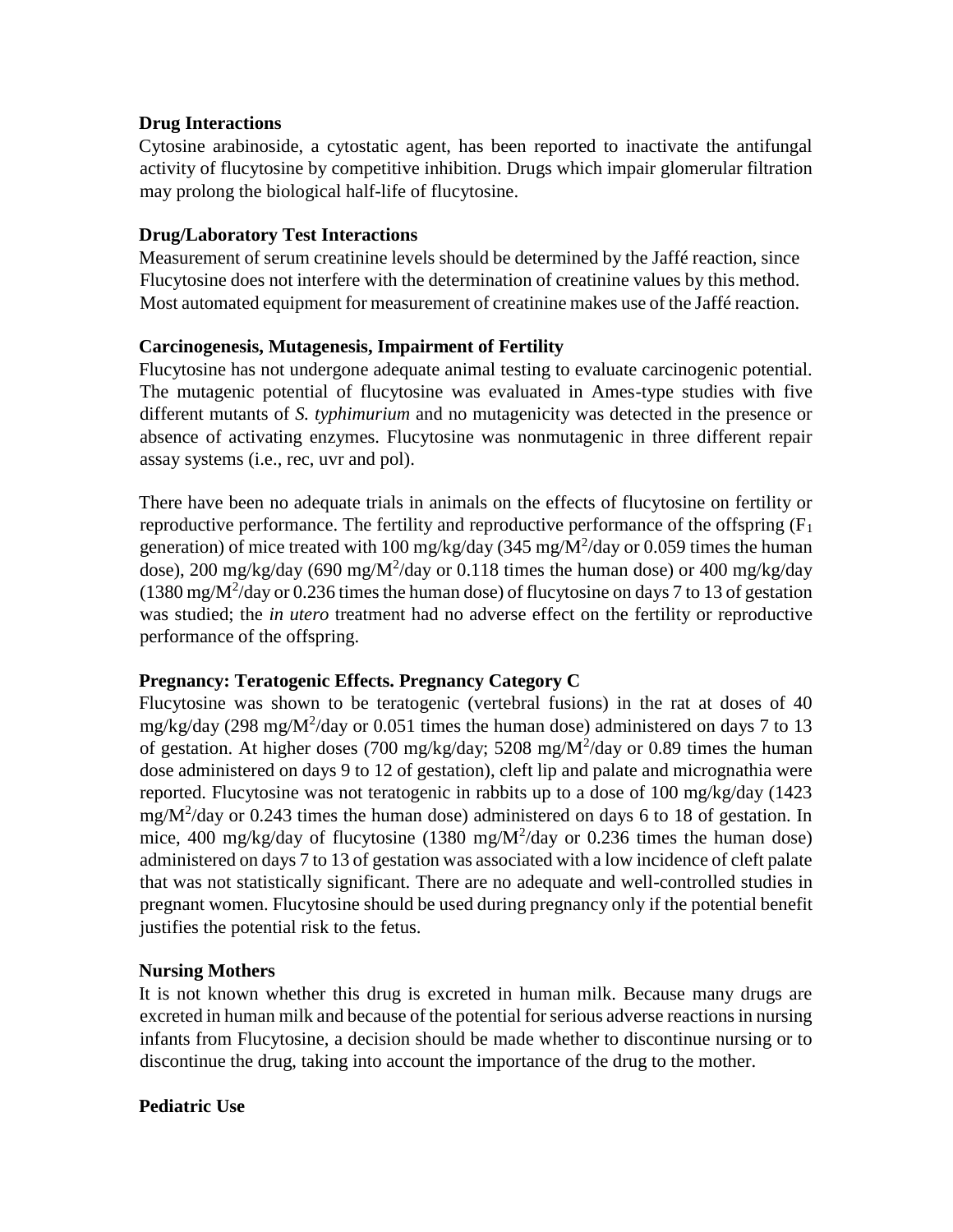## **Drug Interactions**

Cytosine arabinoside, a cytostatic agent, has been reported to inactivate the antifungal activity of flucytosine by competitive inhibition. Drugs which impair glomerular filtration may prolong the biological half-life of flucytosine.

## **Drug/Laboratory Test Interactions**

Measurement of serum creatinine levels should be determined by the Jaffé reaction, since Flucytosine does not interfere with the determination of creatinine values by this method. Most automated equipment for measurement of creatinine makes use of the Jaffé reaction.

# **Carcinogenesis, Mutagenesis, Impairment of Fertility**

Flucytosine has not undergone adequate animal testing to evaluate carcinogenic potential. The mutagenic potential of flucytosine was evaluated in Ames-type studies with five different mutants of *S. typhimurium* and no mutagenicity was detected in the presence or absence of activating enzymes. Flucytosine was nonmutagenic in three different repair assay systems (i.e., rec, uvr and pol).

There have been no adequate trials in animals on the effects of flucytosine on fertility or reproductive performance. The fertility and reproductive performance of the offspring  $(F_1)$ generation) of mice treated with 100 mg/kg/day (345 mg/M<sup>2</sup>/day or 0.059 times the human dose), 200 mg/kg/day (690 mg/M<sup>2</sup>/day or 0.118 times the human dose) or 400 mg/kg/day (1380 mg/ $M^2$ /day or 0.236 times the human dose) of flucytosine on days 7 to 13 of gestation was studied; the *in utero* treatment had no adverse effect on the fertility or reproductive performance of the offspring.

## **Pregnancy: Teratogenic Effects. Pregnancy Category C**

Flucytosine was shown to be teratogenic (vertebral fusions) in the rat at doses of 40 mg/kg/day (298 mg/ $M^2$ /day or 0.051 times the human dose) administered on days 7 to 13 of gestation. At higher doses (700 mg/kg/day; 5208 mg/ $M^2$ /day or 0.89 times the human dose administered on days 9 to 12 of gestation), cleft lip and palate and micrognathia were reported. Flucytosine was not teratogenic in rabbits up to a dose of 100 mg/kg/day (1423 mg/ $M^2$ /day or 0.243 times the human dose) administered on days 6 to 18 of gestation. In mice, 400 mg/kg/day of flucytosine (1380 mg/ $M^2$ /day or 0.236 times the human dose) administered on days 7 to 13 of gestation was associated with a low incidence of cleft palate that was not statistically significant. There are no adequate and well-controlled studies in pregnant women. Flucytosine should be used during pregnancy only if the potential benefit justifies the potential risk to the fetus.

# **Nursing Mothers**

It is not known whether this drug is excreted in human milk. Because many drugs are excreted in human milk and because of the potential for serious adverse reactions in nursing infants from Flucytosine, a decision should be made whether to discontinue nursing or to discontinue the drug, taking into account the importance of the drug to the mother.

## **Pediatric Use**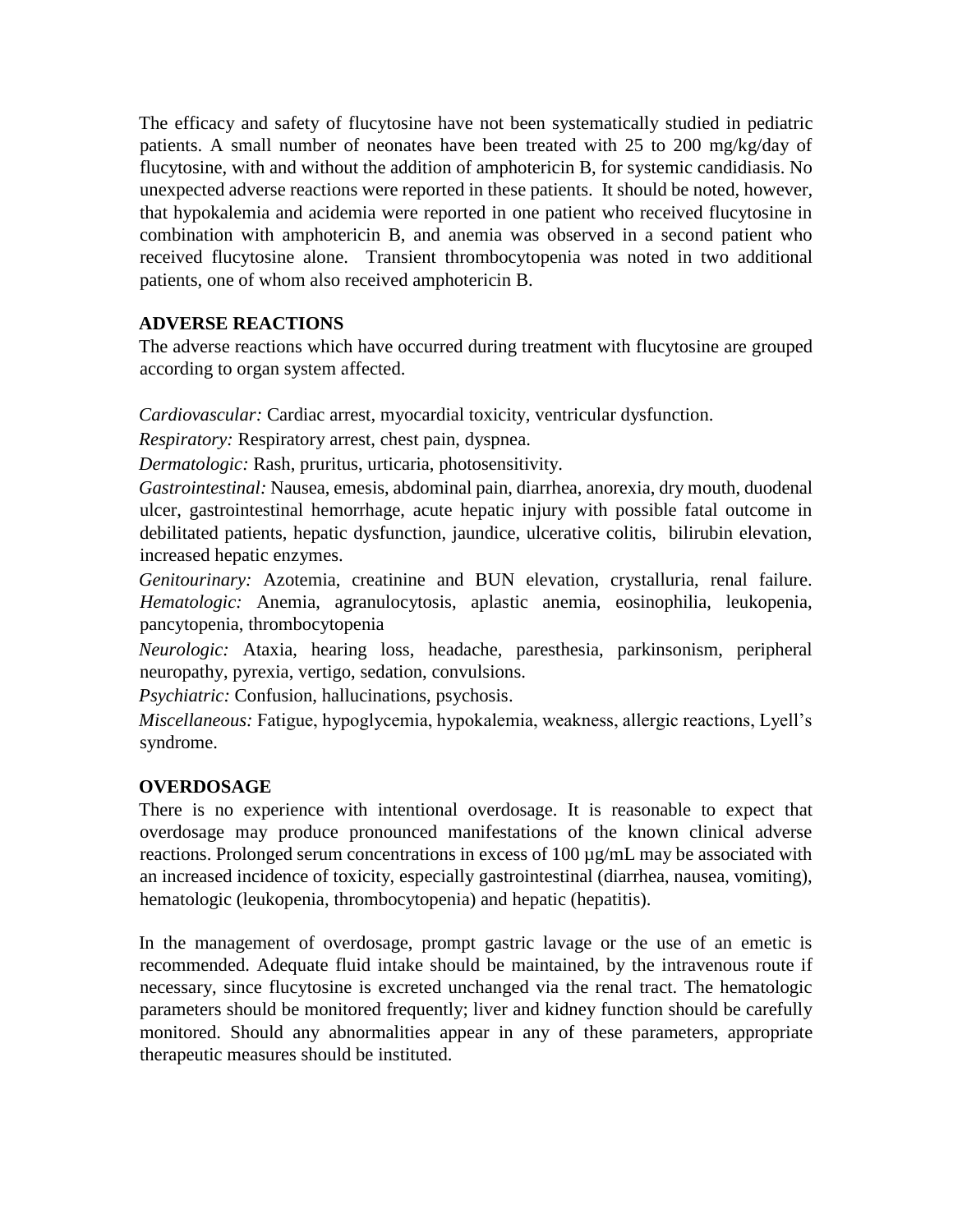The efficacy and safety of flucytosine have not been systematically studied in pediatric patients. A small number of neonates have been treated with 25 to 200 mg/kg/day of flucytosine, with and without the addition of amphotericin B, for systemic candidiasis. No unexpected adverse reactions were reported in these patients. It should be noted, however, that hypokalemia and acidemia were reported in one patient who received flucytosine in combination with amphotericin B, and anemia was observed in a second patient who received flucytosine alone. Transient thrombocytopenia was noted in two additional patients, one of whom also received amphotericin B.

# **ADVERSE REACTIONS**

The adverse reactions which have occurred during treatment with flucytosine are grouped according to organ system affected.

*Cardiovascular:* Cardiac arrest, myocardial toxicity, ventricular dysfunction.

*Respiratory:* Respiratory arrest, chest pain, dyspnea.

*Dermatologic:* Rash, pruritus, urticaria, photosensitivity.

*Gastrointestinal:* Nausea, emesis, abdominal pain, diarrhea, anorexia, dry mouth, duodenal ulcer, gastrointestinal hemorrhage, acute hepatic injury with possible fatal outcome in debilitated patients, hepatic dysfunction, jaundice, ulcerative colitis, bilirubin elevation, increased hepatic enzymes.

*Genitourinary:* Azotemia, creatinine and BUN elevation, crystalluria, renal failure. *Hematologic:* Anemia, agranulocytosis, aplastic anemia, eosinophilia, leukopenia, pancytopenia, thrombocytopenia

*Neurologic:* Ataxia, hearing loss, headache, paresthesia, parkinsonism, peripheral neuropathy, pyrexia, vertigo, sedation, convulsions.

*Psychiatric:* Confusion, hallucinations, psychosis.

*Miscellaneous:* Fatigue, hypoglycemia, hypokalemia, weakness, allergic reactions, Lyell's syndrome.

# **OVERDOSAGE**

There is no experience with intentional overdosage. It is reasonable to expect that overdosage may produce pronounced manifestations of the known clinical adverse reactions. Prolonged serum concentrations in excess of 100 µg/mL may be associated with an increased incidence of toxicity, especially gastrointestinal (diarrhea, nausea, vomiting), hematologic (leukopenia, thrombocytopenia) and hepatic (hepatitis).

In the management of overdosage, prompt gastric lavage or the use of an emetic is recommended. Adequate fluid intake should be maintained, by the intravenous route if necessary, since flucytosine is excreted unchanged via the renal tract. The hematologic parameters should be monitored frequently; liver and kidney function should be carefully monitored. Should any abnormalities appear in any of these parameters, appropriate therapeutic measures should be instituted.